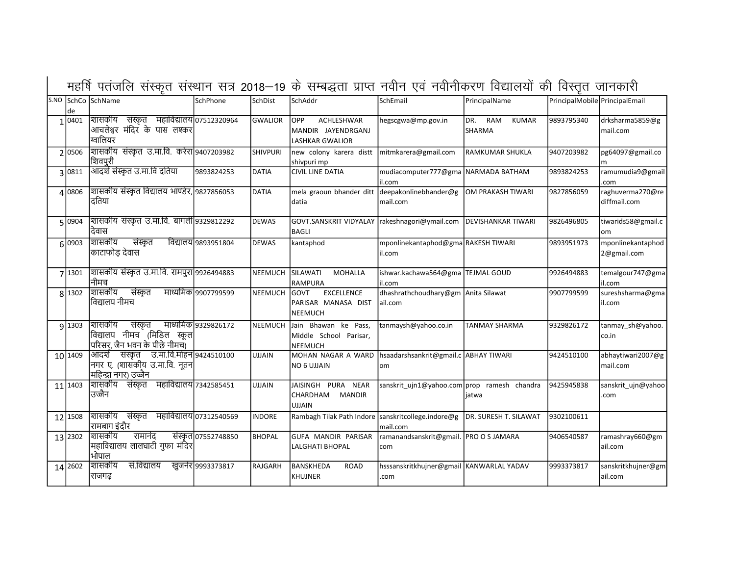| de              | S.NO SchCo SchName                                                                                 | SchPhone                | SchDist        | SchAddr                                                                   | SchEmail                                                            | PrincipalName                        | PrincipalMobile PrincipalEmail |                                  |
|-----------------|----------------------------------------------------------------------------------------------------|-------------------------|----------------|---------------------------------------------------------------------------|---------------------------------------------------------------------|--------------------------------------|--------------------------------|----------------------------------|
| 1 0401          | शासकीय<br>संस्कृत महाविद्यालय 07512320964<br>आचलेश्वर मंदिर के पास लश्कर<br>ग्वालियर               |                         | GWALIOR        | <b>OPP</b><br>ACHLESHWAR<br>MANDIR JAYENDRGANJ<br><b>LASHKAR GWALIOR</b>  | hegscgwa@mp.gov.in                                                  | DR.<br>RAM<br><b>KUMAR</b><br>SHARMA | 9893795340                     | drksharma5859@g<br>mail.com      |
| 2 0506          | शासकीय संस्कृत उ.मा.वि. करेरा 9407203982<br>शिवपुरी                                                |                         | SHIVPURI       | new colony karera distt   mitmkarera@gmail.com<br>shivpuri mp             |                                                                     | <b>RAMKUMAR SHUKLA</b>               | 9407203982                     | pg64097@gmail.co                 |
| 3 0811          | आदर्श संस्कृत उ.मा.वि दतिया                                                                        | 9893824253              | DATIA          | <b>CIVIL LINE DATIA</b>                                                   | mudiacomputer777@gma NARMADA BATHAM<br>lil.com                      |                                      | 9893824253                     | ramumudia9@gmail<br>.com         |
| 4 0806          | शासकीय संस्कृत विद्यालय भाण्डेर, 9827856053<br>दतिया                                               |                         | DATIA          | mela graoun bhander ditt deepakonlinebhander@g<br>datia                   | mail.com                                                            | OM PRAKASH TIWARI                    | 9827856059                     | raghuverma270@re<br>diffmail.com |
| 5 0904          | शासकीय संस्कृत उ.मा.वि. बागली 9329812292<br>देवास                                                  |                         | <b>DEWAS</b>   | GOVT.SANSKRIT VIDYALAY rakeshnagori@ymail.com<br>BAGLI                    |                                                                     | <b>DEVISHANKAR TIWARI</b>            | 9826496805                     | tiwarids58@gmail.c<br>om         |
| 6 0903          | शासकीय<br>संस्कृत<br>काटाफोड़ देवास                                                                | विद्यालय 9893951804     | <b>DEWAS</b>   | kantaphod                                                                 | mponlinekantaphod@gma RAKESH TIWARI<br>lil.com                      |                                      | 9893951973                     | mponlinekantaphod<br>2@gmail.com |
| 7 1301          | शासकीय संस्कृत उ.मा.वि. रामपुरा 9926494883 <br>नीिमच                                               |                         | <b>NEEMUCH</b> | <b>SILAWATI</b><br><b>MOHALLA</b><br><b>RAMPURA</b>                       | ishwar.kachawa564@gma TEJMAL GOUD<br>lil.com                        |                                      | 9926494883                     | temalgour747@gma<br>lil.com      |
| 8 1302          | शिासकीय<br>संस्कृत<br>विद्यालय नीमच                                                                | माध्यमिक 9907799599     | <b>NEEMUCH</b> | <b>EXCELLENCE</b><br><b>GOVT</b><br>PARISAR MANASA DIST<br><b>NEEMUCH</b> | dhashrathchoudhary@gm   Anita Silawat<br>ail.com                    |                                      | 9907799599                     | sureshsharma@gma<br>il.com       |
| 9 1303          | शासकीय<br>संस्कृत<br> विद्यालय नीमच <sup>ॅ</sup> (मिडिल स्कूल <br>परिसर, जैन भवन के पीछे नीमच)     | माध्यमिक 9329826172     | NEEMUCH        | Jain Bhawan ke Pass,<br>Middle School Parisar,<br><b>NEEMUCH</b>          | tanmaysh@yahoo.co.in                                                | <b>TANMAY SHARMA</b>                 | 9329826172                     | tanmay_sh@yahoo.<br>co.in        |
| $10\sqrt{1409}$ | संस्कृत उ.मा.वि.मोहन 9424510100<br> आदर्श<br>नगर ए. (शासकीय उ.मा.वि. नूतन<br>महिन्द्रा नगर) उज्जैन |                         | <b>UJJAIN</b>  | <b>NO 6 UJJAIN</b>                                                        | MOHAN NAGAR A WARD   hsaadarshsankrit@gmail.c   ABHAY TIWARI<br>Iom |                                      | 9424510100                     | abhaytiwari2007@g<br>mail.com    |
| 11 1403         | शासकीय संस्कृत<br>उज्जैन                                                                           | महाविद्यालय 7342585451  | UJJAIN         | JAISINGH PURA NEAR<br>CHARDHAM<br>MANDIR<br><b>UJJAIN</b>                 | sanskrit_ujn1@yahoo.com prop ramesh chandra                         | jatwa                                | 9425945838                     | sanskrit_ujn@yahoo<br>.com       |
| 12 1508         | शासकीय संस्कृत<br>रामबाग इंदौर                                                                     | महाविद्यालय 07312540569 | <b>INDORE</b>  | Rambagh Tilak Path Indore   sanskritcollege.indore@g                      | mail.com                                                            | DR. SURESH T. SILAWAT                | 9302100611                     |                                  |
| 13 2302         | शासकीय<br>रामानंद<br>महाविद्यालय लालघाटी गुफा मंदिर<br>भोपाल                                       | संस्कृत 07552748850     | BHOPAL         | <b>GUFA MANDIR PARISAR</b><br><b>LALGHATI BHOPAL</b>                      | ramanandsanskrit@gmail. PRO O S JAMARA<br>Icom                      |                                      | 9406540587                     | ramashray660@gm<br>ail.com       |
| 14 2602         | सं.विद्यालय<br> शासकीय<br>राजगढ                                                                    | खुजनेर 9993373817       | RAJGARH        | <b>BANSKHEDA</b><br><b>ROAD</b><br><b>KHUJNER</b>                         | hsssanskritkhujner@gmail KANWARLAL YADAV<br>.com                    |                                      | 9993373817                     | sanskritkhujner@gm<br>ail.com    |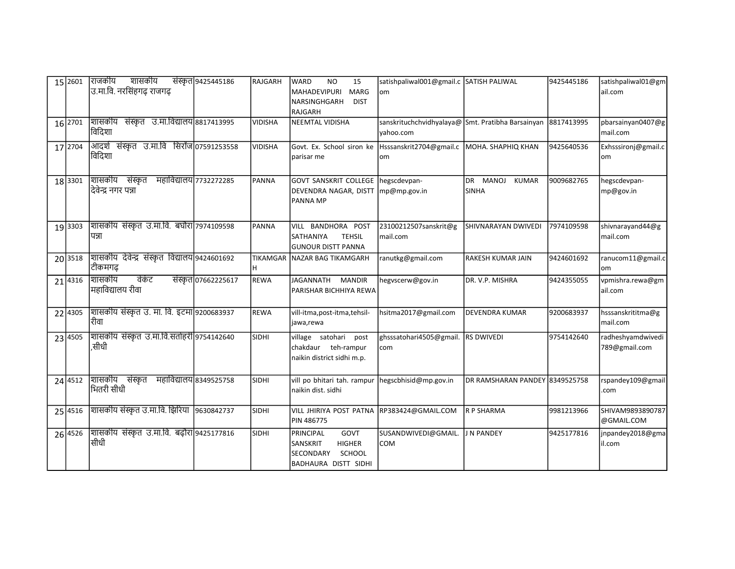| 15 2601             | राजकीय शासकीय<br>उ.मा.वि. नरसिंहगढ़ राजगढ़                   | संस्कृत 9425445186     | RAJGARH        | <b>WARD</b><br><b>NO</b><br>15<br>MAHADEVIPURI<br><b>MARG</b><br><b>DIST</b><br>NARSINGHGARH<br>RAJGARH | satishpaliwal001@gmail.c SATISH PALIWAL<br>om                  |                                | 9425445186 | satishpaliwal01@gm<br>ail.com      |
|---------------------|--------------------------------------------------------------|------------------------|----------------|---------------------------------------------------------------------------------------------------------|----------------------------------------------------------------|--------------------------------|------------|------------------------------------|
| 16 2701             | शासकीय संस्कृत उ.मा.विद्यालय 8817413995<br>विदिशा            |                        | <b>VIDISHA</b> | NEEMTAL VIDISHA                                                                                         | sanskrituchchvidhyalaya@ Smt. Pratibha Barsainyan<br>vahoo.com |                                | 8817413995 | pbarsainyan0407@g<br>mail.com      |
| 17 2704             | आदर्श संस्कृत उ.मा.वि सिरोंज 07591253558<br>विदिशा           |                        | <b>VIDISHA</b> | Govt. Ex. School siron ke   Hsssanskrit2704@gmail.c   MOHA. SHAPHIQ KHAN<br>parisar me                  | om                                                             |                                | 9425640536 | Exhsssironj@gmail.c<br>om          |
| 18 3301             | शासकीय संस्कृत महाविद्यालय 7732272285<br>दिवेन्द्र नगर पन्ना |                        | PANNA          | GOVT SANSKRIT COLLEGE   hegscdevpan-<br>DEVENDRA NAGAR, DISTT mp@mp.gov.in<br><b>PANNA MP</b>           |                                                                | DR MANOJ KUMAR<br><b>SINHA</b> | 9009682765 | hegscdevpan-<br>mp@gov.in          |
| 19 3303             | शासकीय संस्कृत उ.मा.वि. बघौरा 7974109598<br>पन्ना            |                        | PANNA          | VILL BANDHORA POST<br><b>SATHANIYA</b><br><b>TEHSIL</b><br><b>GUNOUR DISTT PANNA</b>                    | 23100212507sanskrit@g<br>mail.com                              | SHIVNARAYAN DWIVEDI            | 7974109598 | shivnarayand44@g<br>mail.com       |
| 20 3518             | शासकीय देवेन्द्र संस्कृत विद्यालय 9424601692<br>टीकमगढ़      |                        | H.             | TIKAMGAR NAZAR BAG TIKAMGARH                                                                            | ranutkg@gmail.com                                              | RAKESH KUMAR JAIN              | 9424601692 | ranucom11@gmail.c<br>om            |
| 21 4316             | वेकंट<br>शासकीय<br>महाविद्यालय रीवा                          | संस्कृत 07662225617    | <b>REWA</b>    | JAGANNATH MANDIR<br>PARISHAR BICHHIYA REWA                                                              | hegvscerw@gov.in                                               | DR. V.P. MISHRA                | 9424355055 | vpmishra.rewa@gm<br>ail.com        |
| 22 4305             | शासकीय संस्कृत उ. मा. वि. इटमा 9200683937<br>रीवा            |                        | <b>REWA</b>    | vill-itma, post-itma, tehsil-<br>jawa,rewa                                                              | hsitma2017@gmail.com                                           | <b>DEVENDRA KUMAR</b>          | 9200683937 | hsssanskrititma@g<br>mail.com      |
| 23 4505             | शासकीय संस्कृत उ.मा.वि.सतोहरी 9754142640<br>,सीधी            |                        | <b>SIDHI</b>   | village satohari post<br>chakdaur teh-rampur<br>naikin district sidhi m.p.                              | ghsssatohari4505@gmail. RS DWIVEDI<br>com                      |                                | 9754142640 | radheshyamdwivedi<br>789@gmail.com |
| 24 4512             | शासकीय संस्कृत<br>भितरी सीधी                                 | महाविद्यालय 8349525758 | SIDHI          | vill po bhitari tah. rampur<br>naikin dist. sidhi                                                       | hegscbhisid@mp.gov.in                                          | DR RAMSHARAN PANDEY 8349525758 |            | rspandey109@gmail<br>.com          |
| 25 4516             | शासकीय संस्कृत उ.मा.वि. झिरिया  9630842737                   |                        | SIDHI          | VILL JHIRIYA POST PATNA RP383424@GMAIL.COM<br>PIN 486775                                                |                                                                | R P SHARMA                     | 9981213966 | SHIVAM9893890787<br>@GMAIL.COM     |
| $26\overline{4526}$ | शासकीय संस्कृत उ.मा.वि. बढ़ौरा 9425177816<br>सीधी            |                        | SIDHI          | PRINCIPAL<br>GOVT<br>SANSKRIT<br><b>HIGHER</b><br>SCHOOL<br><b>SECONDARY</b><br>BADHAURA DISTT SIDHI    | SUSANDWIVEDI@GMAIL.<br>COM                                     | <b>J N PANDEY</b>              | 9425177816 | jnpandey2018@gma<br>il.com         |

MP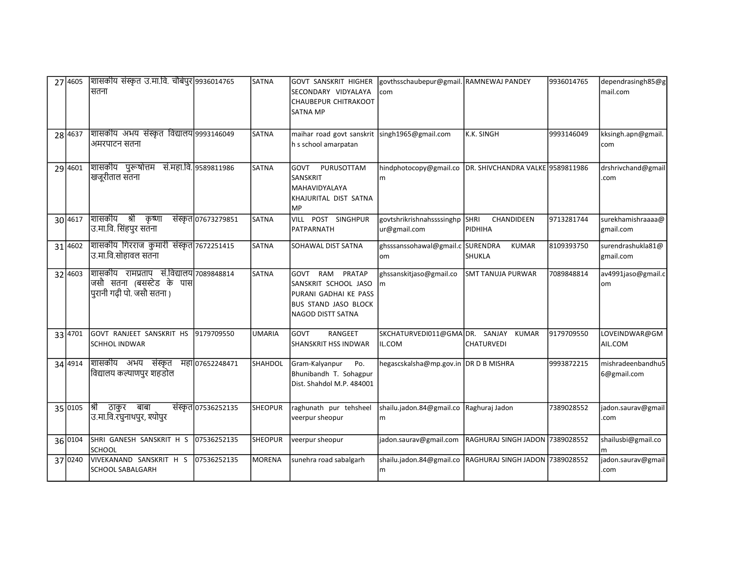| 27 4605 | शिसिकीय संस्कृत उ.मा.वि. चौबेपुर 9936014765 <br>सतना                                               |                     | <b>SATNA</b>   | GOVT SANSKRIT HIGHER<br>SECONDARY VIDYALAYA<br><b>CHAUBEPUR CHITRAKOOT</b><br><b>SATNA MP</b>                              | govthsschaubepur@gmail. RAMNEWAJ PANDEY<br>com                |                                 | 9936014765 | dependrasingh85@g<br>mail.com    |
|---------|----------------------------------------------------------------------------------------------------|---------------------|----------------|----------------------------------------------------------------------------------------------------------------------------|---------------------------------------------------------------|---------------------------------|------------|----------------------------------|
| 28 4637 | शासकीय अभय संस्कृत विद्यालय 9993146049<br>अमरपाटन सतना                                             |                     | <b>SATNA</b>   | maihar road govt sanskrit singh1965@gmail.com<br>h s school amarpatan                                                      |                                                               | K.K. SINGH                      | 9993146049 | kksingh.apn@gmail.<br>com        |
| 29 4601 | शिासकीय पुरूषोत्तम सं.महा.वि. 9589811986<br>खजूरीताल संतना                                         |                     | SATNA          | lgovt<br>PURUSOTTAM<br><b>SANSKRIT</b><br>MAHAVIDYALAYA<br>KHAJURITAL DIST SATNA<br> MP                                    | hindphotocopy@gmail.co DR. SHIVCHANDRA VALKE 9589811986<br>m  |                                 |            | drshrivchand@gmail<br>.com       |
| 30 4617 | शािसकीय श्री कृष्णा<br> उ.मा.वि. सिंहपुर सतना                                                      | संस्कृत 07673279851 | <b>SATNA</b>   | POST SINGHPUR<br>VILL<br>PATPARNATH                                                                                        | govtshrikrishnahssssinghp SHRI<br>ur@gmail.com                | CHANDIDEEN<br>PIDHIHA           | 9713281744 | surekhamishraaaa@<br>gmail.com   |
| 31 4602 | शासकीय गिरराज कुमारी संस्कृत 7672251415<br>उ.मा.वि.सोहावल सतना                                     |                     | SATNA          | <b>SOHAWAL DIST SATNA</b>                                                                                                  | ghsssanssohawal@gmail.c SURENDRA<br>om                        | <b>KUMAR</b><br><b>SHUKLA</b>   | 8109393750 | surendrashukla81@<br>gmail.com   |
| 32 4603 | शासकीय रामप्रताप सं.विद्यालय 7089848814<br>जिसौ सतना (बसस्टेड के पास <br>पुरानी गढ़ी पो. जसौ सतना) |                     | SATNA          | RAM<br>PRATAP<br>GOVT<br>SANSKRIT SCHOOL JASO<br>PURANI GADHAI KE PASS<br><b>BUS STAND JASO BLOCK</b><br>NAGOD DISTT SATNA | ghssanskitjaso@gmail.co<br>m                                  | <b>SMT TANUJA PURWAR</b>        | 7089848814 | av4991jaso@gmail.c<br>om         |
| 33 4701 | GOVT RANJEET SANSKRIT HS 9179709550<br><b>SCHHOL INDWAR</b>                                        |                     | <b>UMARIA</b>  | GOVT<br><b>RANGEET</b><br>SHANSKRIT HSS INDWAR                                                                             | SKCHATURVEDI011@GMADR. SANJAY KUMAR<br>IL.COM                 | <b>CHATURVEDI</b>               | 9179709550 | LOVEINDWAR@GM<br>AIL.COM         |
| 34 4914 | शासकीय अभय संस्कृत महा07652248471<br> विद्यालय कल्याणपुर शहडोल                                     |                     | <b>SHAHDOL</b> | Gram-Kalyanpur<br>Po.<br>Bhunibandh T. Sohagpur<br>Dist. Shahdol M.P. 484001                                               | hegascskalsha@mp.gov.in DR D B MISHRA                         |                                 | 9993872215 | mishradeenbandhu5<br>6@gmail.com |
| 35 0105 | ठाकुर बाबा<br> श्री<br>उ.मा.वि.रघुनाथपुर, श्योपुर                                                  | संस्कृत 07536252135 | <b>SHEOPUR</b> | raghunath pur tehsheel<br>veerpur sheopur                                                                                  | shailu.jadon.84@gmail.co Raghuraj Jadon<br>m                  |                                 | 7389028552 | jadon.saurav@gmail<br>.com       |
| 36 0104 | SHRI GANESH SANSKRIT H S<br><b>SCHOOL</b>                                                          | 07536252135         | <b>SHEOPUR</b> | veerpur sheopur                                                                                                            | jadon.saurav@gmail.com                                        | RAGHURAJ SINGH JADON 7389028552 |            | shailusbi@gmail.co               |
| 37 0240 | VIVEKANAND SANSKRIT H S<br>SCHOOL SABALGARH                                                        | 07536252135         | <b>MORENA</b>  | sunehra road sabalgarh                                                                                                     | shailu.jadon.84@gmail.co RAGHURAJ SINGH JADON 7389028552<br>m |                                 |            | jadon.saurav@gmail<br>.com       |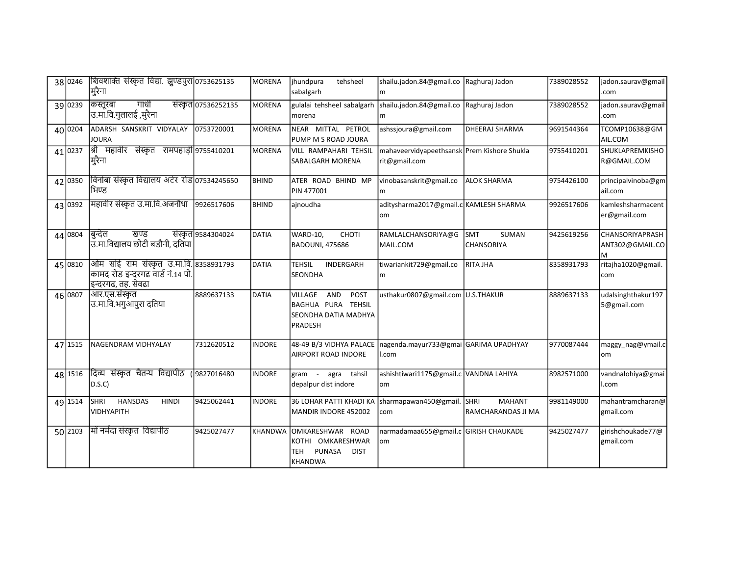| 38 0246 | शिवशक्ति संस्कृत विद्या. झुण्डपुरा 0753625135<br>मुरैना                                            |                     | MORENA        | jhundpura<br>tehsheel<br>sabalgarh                                                       | shailu.jadon.84@gmail.co Raghuraj Jadon<br>m                 |                                             | 7389028552 | jadon.saurav@gmail<br>.com                      |
|---------|----------------------------------------------------------------------------------------------------|---------------------|---------------|------------------------------------------------------------------------------------------|--------------------------------------------------------------|---------------------------------------------|------------|-------------------------------------------------|
| 39 0239 | गाधी<br>कस्तूरबा<br>उ.मा.वि.गुलालई ,मुरैना                                                         | संस्कृत 07536252135 | <b>MORENA</b> | gulalai tehsheel sabalgarh<br>morena                                                     | shailu.jadon.84@gmail.co<br>lm                               | Raghuraj Jadon                              | 7389028552 | jadon.saurav@gmail<br>.com                      |
| 40 0204 | ADARSH SANSKRIT VIDYALAY<br><b>JOURA</b>                                                           | 0753720001          | <b>MORENA</b> | NEAR MITTAL PETROL<br>PUMP M S ROAD JOURA                                                | ashssjoura@gmail.com                                         | <b>DHEERAJ SHARMA</b>                       | 9691544364 | TCOMP10638@GM<br>AIL.COM                        |
| 41 0237 | श्री महावीर संस्कृत रामपहाड़ी 9755410201<br>मुरैना                                                 |                     | <b>MORENA</b> | VILL RAMPAHARI TEHSIL<br>SABALGARH MORENA                                                | mahaveervidyapeethsansk Prem Kishore Shukla<br>rit@gmail.com |                                             | 9755410201 | SHUKLAPREMKISHO<br>R@GMAIL.COM                  |
| 42 0350 | विनोबा संस्कृत विद्यालय अटेर रोड 07534245650<br>भिण्ड                                              |                     | <b>BHIND</b>  | ATER ROAD BHIND MP<br>PIN 477001                                                         | vinobasanskrit@gmail.co<br>m                                 | lalok sharma                                | 9754426100 | principalvinoba@gm<br>ail.com                   |
| 43 0392 | महावीर संस्कृत उ.मा.वि.अजनौधा                                                                      | 9926517606          | <b>BHIND</b>  | ajnoudha                                                                                 | aditysharma2017@gmail.c KAMLESH SHARMA<br>om                 |                                             | 9926517606 | kamleshsharmacent<br>er@gmail.com               |
| 44 0804 | खण्ड<br>बुन्देल<br>उ.मा.विद्यालय छोटी बडौनी, दतिया                                                 | संस्कृत 9584304024  | <b>DATIA</b>  | WARD-10,<br>CHOTI<br><b>BADOUNI, 475686</b>                                              | RAMLALCHANSORIYA@G<br>MAIL.COM                               | Іѕмт<br><b>SUMAN</b><br>CHANSORIYA          | 9425619256 | <b>CHANSORIYAPRASH</b><br>ANT302@GMAIL.CO<br>lм |
| 45 0810 | ओम सांई राम संस्कृत उ.मा.वि. 8358931793<br>कामद रोड इन्दरगढ वार्ड नं.14 पो. <br>इन्दरगढ, तह. सेवढा |                     | DATIA         | <b>TEHSIL</b><br>INDERGARH<br><b>SEONDHA</b>                                             | tiwariankit729@gmail.co<br>m                                 | <b>RITA JHA</b>                             | 8358931793 | ritajha1020@gmail.<br>com                       |
| 46 0807 | आर.एस.संस्कृत<br>उ.मा.वि.भगुआपुरा दतिया                                                            | 8889637133          | DATIA         | AND<br>POST<br>VILLAGE<br>BAGHUA PURA TEHSIL<br>SEONDHA DATIA MADHYA<br>PRADESH          | usthakur0807@gmail.com U.S.THAKUR                            |                                             | 8889637133 | udalsinghthakur197<br>5@gmail.com               |
| 47 1515 | NAGENDRAM VIDHYALAY                                                                                | 7312620512          | <b>INDORE</b> | 48-49 B/3 VIDHYA PALACE<br>AIRPORT ROAD INDORE                                           | nagenda.mayur733@gmai GARIMA UPADHYAY<br>l.com               |                                             | 9770087444 | maggy_nag@ymail.c<br>lom                        |
| 48 1516 | दिव्य संस्कृत चैतन्य विद्यापीठ<br>D.S.C)                                                           | (9827016480         | <b>INDORE</b> | tahsil<br>gram - agra<br>depalpur dist indore                                            | ashishtiwari1175@gmail.c VANDNA LAHIYA<br>lom                |                                             | 8982571000 | vandnalohiya@gmai<br>I.com                      |
| 49 1514 | <b>HANSDAS</b><br><b>SHRI</b><br><b>HINDI</b><br><b>VIDHYAPITH</b>                                 | 9425062441          | <b>INDORE</b> | 36 LOHAR PATTI KHADI KA<br>MANDIR INDORE 452002                                          | sharmapawan450@gmail.<br>com                                 | SHRI<br><b>MAHANT</b><br>RAMCHARANDAS JI MA | 9981149000 | mahantramcharan@<br>gmail.com                   |
| 50 2103 | माँ नर्मदा संस्कृत  विद्यापीठ                                                                      | 9425027477          |               | KHANDWA OMKARESHWAR ROAD<br>KOTHI OMKARESHWAR<br>PUNASA<br><b>DIST</b><br>TEH<br>KHANDWA | narmadamaa655@gmail.c GIRISH CHAUKADE<br>lom                 |                                             | 9425027477 | girishchoukade77@<br>gmail.com                  |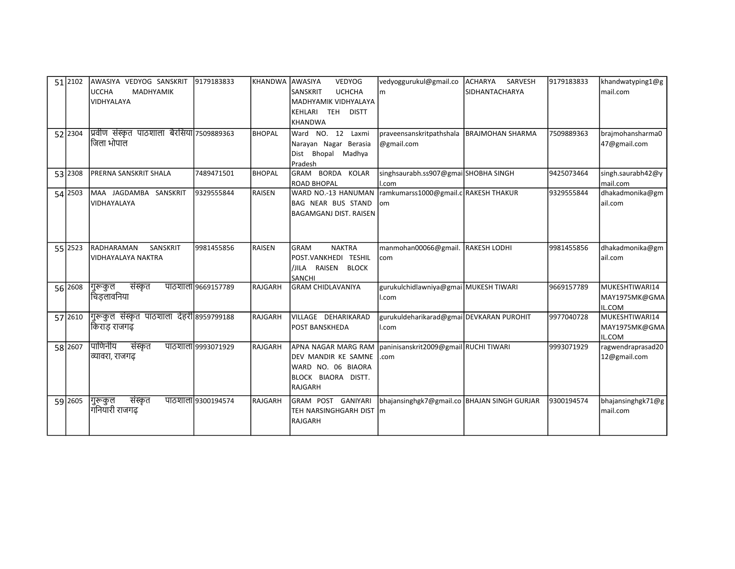| 51 2102 | LAWASIYA VEDYOG SANSKRIT                   | 9179183833         | <b>KHANDWA</b> | AWASIYA<br><b>VEDYOG</b>                                  | vedyoggurukul@gmail.co                        | ACHARYA<br>SARVESH | 9179183833 | khandwatyping1@g  |
|---------|--------------------------------------------|--------------------|----------------|-----------------------------------------------------------|-----------------------------------------------|--------------------|------------|-------------------|
|         | <b>UCCHA</b><br><b>MADHYAMIK</b>           |                    |                | <b>UCHCHA</b><br><b>SANSKRIT</b>                          | lm.                                           | SIDHANTACHARYA     |            | mail.com          |
|         | VIDHYALAYA                                 |                    |                | MADHYAMIK VIDHYALAYA                                      |                                               |                    |            |                   |
|         |                                            |                    |                | KEHLARI TEH DISTT                                         |                                               |                    |            |                   |
|         |                                            |                    |                | <b>KHANDWA</b>                                            |                                               |                    |            |                   |
| 52 2304 | प्रिवीण संस्कृत पाठशाला बैरसिया 7509889363 |                    | <b>BHOPAL</b>  | Ward NO. 12 Laxmi                                         | praveensanskritpathshala   BRAJMOHAN SHARMA   |                    | 7509889363 | brajmohansharma0  |
|         | जिला भोपाल                                 |                    |                | Narayan Nagar Berasia                                     | @gmail.com                                    |                    |            | 47@gmail.com      |
|         |                                            |                    |                | Dist Bhopal<br>Madhya                                     |                                               |                    |            |                   |
|         |                                            |                    |                | Pradesh                                                   |                                               |                    |            |                   |
| 53 2308 | <b>PRERNA SANSKRIT SHALA</b>               | 7489471501         | <b>BHOPAL</b>  | GRAM BORDA KOLAR                                          | singhsaurabh.ss907@gmai SHOBHA SINGH          |                    | 9425073464 | singh.saurabh42@y |
|         |                                            |                    |                | <b>ROAD BHOPAL</b>                                        | ll.com                                        |                    |            | mail.com          |
| 54 2503 | MAA JAGDAMBA SANSKRIT                      | 9329555844         | <b>RAISEN</b>  | WARD NO.-13 HANUMAN                                       | ramkumarss1000@gmail.c RAKESH THAKUR          |                    | 9329555844 | dhakadmonika@gm   |
|         | <b>l</b> vidhayalaya                       |                    |                | <b>BAG NEAR BUS STAND</b>                                 | lom                                           |                    |            | ail.com           |
|         |                                            |                    |                | <b>BAGAMGANJ DIST. RAISEN</b>                             |                                               |                    |            |                   |
|         |                                            |                    |                |                                                           |                                               |                    |            |                   |
|         |                                            |                    |                |                                                           |                                               |                    |            |                   |
| 55 2523 | SANSKRIT<br><b>RADHARAMAN</b>              | 9981455856         | RAISEN         | <b>NAKTRA</b><br><b>GRAM</b>                              | manmohan00066@gmail. RAKESH LODHI             |                    | 9981455856 | dhakadmonika@gm   |
|         | <b>VIDHAYALAYA NAKTRA</b>                  |                    |                | POST.VANKHEDI TESHIL                                      | com                                           |                    |            | ail.com           |
|         |                                            |                    |                | /JILA RAISEN BLOCK                                        |                                               |                    |            |                   |
|         |                                            |                    |                | SANCHI                                                    |                                               |                    |            |                   |
| 56 2608 | संस्कृत<br> गुरूकुल                        | पाठशाला 9669157789 | RAJGARH        | <b>GRAM CHIDLAVANIYA</b>                                  | gurukulchidlawniya@gmai MUKESH TIWARI         |                    | 9669157789 | MUKESHTIWARI14    |
|         | चिडलावनिया                                 |                    |                |                                                           | l.com                                         |                    |            | MAY1975MK@GMA     |
|         |                                            |                    |                |                                                           |                                               |                    |            | IL.COM            |
| 57 2610 | गुरूकुल संस्कृत पाठशाला देहरी 8959799188   |                    | RAJGARH        | VILLAGE DEHARIKARAD                                       | gurukuldeharikarad@gmai DEVKARAN PUROHIT      |                    | 9977040728 | MUKESHTIWARI14    |
|         | किराड राजगढ                                |                    |                | <b>POST BANSKHEDA</b>                                     | l.com                                         |                    |            | MAY1975MK@GMA     |
|         |                                            |                    |                |                                                           |                                               |                    |            | IL.COM            |
| 58 2607 | पाणिनीय<br>संस्कृत                         | पाठशाला 9993071929 | RAJGARH        | APNA NAGAR MARG RAM Daninisanskrit2009@gmail RUCHI TIWARI |                                               |                    | 9993071929 | ragwendraprasad20 |
|         | व्यावरा, राजगढ                             |                    |                | DEV MANDIR KE SAMNE                                       | .com                                          |                    |            | 12@gmail.com      |
|         |                                            |                    |                | WARD NO. 06 BIAORA                                        |                                               |                    |            |                   |
|         |                                            |                    |                | BLOCK BIAORA DISTT.                                       |                                               |                    |            |                   |
|         |                                            |                    |                | RAJGARH                                                   |                                               |                    |            |                   |
| 59 2605 | संस्कृत<br> गुरूकुल                        | पाठशाला 9300194574 | RAJGARH        | GRAM POST GANIYARI                                        | bhajansinghgk7@gmail.co   BHAJAN SINGH GURJAR |                    | 9300194574 | bhajansinghgk71@g |
|         | गनियारी राजगढ                              |                    |                | TEH NARSINGHGARH DIST   m                                 |                                               |                    |            | mail.com          |
|         |                                            |                    |                | RAJGARH                                                   |                                               |                    |            |                   |
|         |                                            |                    |                |                                                           |                                               |                    |            |                   |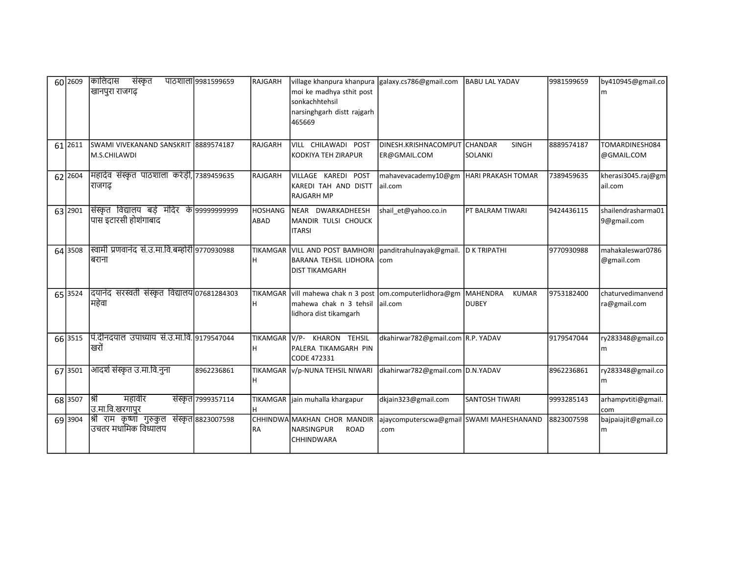| 60 2609 | कालिदास<br>संस्कृत<br>खानपुरा राजगढ़                                | पाठशाला ९९८१५९९६५९ | RAJGARH                       | village khanpura khanpura galaxy.cs786@gmail.com<br>moi ke madhya sthit post<br>sonkachhtehsil<br>narsinghgarh distt rajgarh<br>465669 |                                                     | <b>BABU LAL YADAV</b>                     | 9981599659 | by410945@gmail.co<br>m            |
|---------|---------------------------------------------------------------------|--------------------|-------------------------------|----------------------------------------------------------------------------------------------------------------------------------------|-----------------------------------------------------|-------------------------------------------|------------|-----------------------------------|
| 61 2611 | SWAMI VIVEKANAND SANSKRIT 8889574187<br>M.S.CHILAWDI                |                    | RAJGARH                       | VILL CHILAWADI POST<br>KODKIYA TEH ZIRAPUR                                                                                             | DINESH.KRISHNACOMPUT<br>ER@GMAIL.COM                | <b>CHANDAR</b><br><b>SINGH</b><br>SOLANKI | 8889574187 | TOMARDINESH084<br>@GMAIL.COM      |
| 62 2604 | महादेव संस्कृत पाठशाला करेड़ी, 7389459635<br>राजगढ                  |                    | RAJGARH                       | VILLAGE KAREDI POST<br>KAREDI TAH AND DISTT<br>RAJGARH MP                                                                              | mahavevacademy10@gm  HARI PRAKASH TOMAR<br>lail.com |                                           | 7389459635 | kherasi3045.raj@gm<br>ail.com     |
| 63 2901 | संस्कृत विद्यालय बड़े मंदिर के 999999999999<br>पास इटारसी होशंगाबाद |                    | <b>HOSHANG</b><br><b>ABAD</b> | NEAR DWARKADHEESH<br>MANDIR TULSI CHOUCK<br>IITARSI                                                                                    | shail et@yahoo.co.in                                | PT BALRAM TIWARI                          | 9424436115 | shailendrasharma01<br>9@gmail.com |
| 64 3508 | स्वामी प्रणवानंद सं.उ.मा.वि.बम्होरी 9770930988<br>बराना             |                    | н                             | TIKAMGAR VILL AND POST BAMHORI panditrahulnayak@gmail.<br>IBARANA TEHSIL LIDHORA Icom<br><b>IDIST TIKAMGARH</b>                        |                                                     | <b>D K TRIPATHI</b>                       | 9770930988 | mahakaleswar0786<br>@gmail.com    |
| 65 3524 | दयानंद सरस्वती संस्कृत विद्यालय 07681284303<br>महेवा                |                    | н                             | TIKAMGAR vill mahewa chak n 3 post om.computerlidhora@gm MAHENDRA<br>mahewa chak n 3 tehsil<br>lidhora dist tikamgarh                  | ail.com                                             | <b>KUMAR</b><br><b>DUBEY</b>              | 9753182400 | chaturvedimanvend<br>ra@gmail.com |
| 66 3515 | पि.दीनदयाल उपाध्याय सं.उ.मा.वि. 9179547044<br>खरों                  |                    | TIKAMGAR V/P-<br>н            | KHARON TEHSIL<br>PALERA TIKAMGARH PIN<br>CODE 472331                                                                                   | dkahirwar782@gmail.com R.P. YADAV                   |                                           | 9179547044 | ry283348@gmail.co<br>m            |
| 67 3501 | आदर्श संस्कृत उ.मा.वि.नुना                                          | 8962236861         | н                             | TIKAMGAR V/p-NUNA TEHSIL NIWARI                                                                                                        | dkahirwar782@gmail.com D.N.YADAV                    |                                           | 8962236861 | ry283348@gmail.co<br>m            |
| 68 3507 | महावीर<br>।श्री<br>उ.मा.वि.खरगापुर                                  | संस्कृत 7999357114 |                               | TIKAMGAR   jain muhalla khargapur                                                                                                      | dkjain323@gmail.com                                 | <b>SANTOSH TIWARI</b>                     | 9993285143 | arhampvtiti@gmail.<br>com         |
| 69 3904 | श्री राम कृष्णा गुरुकुल संस्कृत 8823007598<br>उचतर मधामिक विध्यालय  |                    | <b>RA</b>                     | CHHINDWA MAKHAN CHOR MANDIR<br><b>NARSINGPUR</b><br><b>ROAD</b><br>CHHINDWARA                                                          | ajaycomputerscwa@gmail SWAMI MAHESHANAND<br>com     |                                           | 8823007598 | bajpaiajit@gmail.co<br>m          |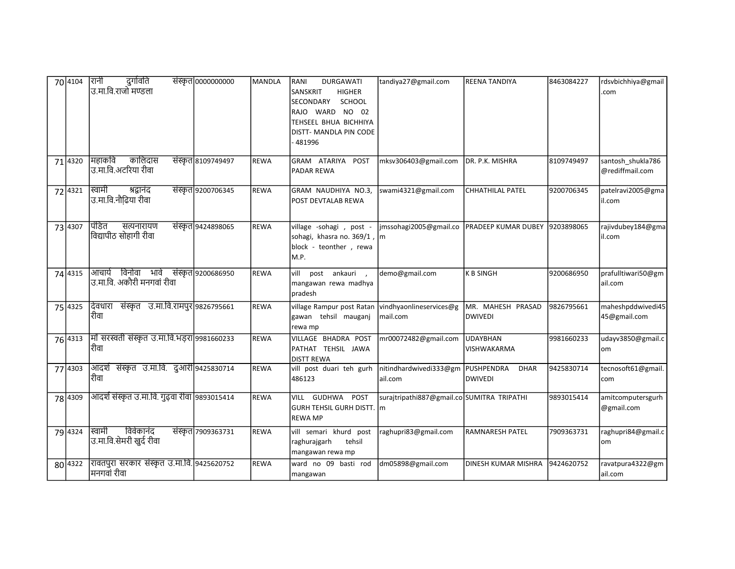| 70 4104 | सिनी<br>दुर्गावति<br>उ.मा.वि.राजो मण्डला                               | संस्कृत 0000000000 | <b>MANDLA</b> | <b>DURGAWATI</b><br>RANI<br><b>HIGHER</b><br>SANSKRIT<br>SECONDARY<br><b>SCHOOL</b><br>RAJO WARD NO 02<br>TEHSEEL BHUA BICHHIYA<br>DISTT- MANDLA PIN CODE<br>481996 | tandiya27@gmail.com                                    | REENA TANDIYA                               | 8463084227 | rdsvbichhiya@gmail<br>.com           |
|---------|------------------------------------------------------------------------|--------------------|---------------|---------------------------------------------------------------------------------------------------------------------------------------------------------------------|--------------------------------------------------------|---------------------------------------------|------------|--------------------------------------|
| 71 4320 | कालिदास<br>मिहाकवि<br> उ.मा.वि.अटरिया रीवा                             | संस्कृत 8109749497 | <b>REWA</b>   | GRAM ATARIYA POST<br>PADAR REWA                                                                                                                                     | mksv306403@gmail.com DR. P.K. MISHRA                   |                                             | 8109749497 | santosh_shukla786<br>@rediffmail.com |
| 72 4321 | स्विामी<br>श्रद्धानंद<br> उ.मा.वि.नौढिया रीवा                          | संस्कृत 9200706345 | <b>REWA</b>   | GRAM NAUDHIYA NO.3,<br>POST DEVTALAB REWA                                                                                                                           | swami4321@gmail.com                                    | <b>CHHATHILAL PATEL</b>                     | 9200706345 | patelravi2005@gma<br>il.com          |
| 73 4307 | पिडित<br>सत्यनारायण<br> विद्यापीठ सोहागी रीवा                          | संस्कृत 9424898065 | <b>REWA</b>   | village -sohagi, post -<br>sohagi, khasra no. 369/1, m<br>block - teonther, rewa<br>M.P.                                                                            | jmssohagi2005@gmail.co  PRADEEP KUMAR DUBEY 9203898065 |                                             |            | rajivdubey184@gma<br>il.com          |
| 74 4315 | विनोवा भावे संस्कृत 9200686950<br>आचार्य<br>उ.मा.वि. अकौरी मनगवां रीवा |                    | <b>REWA</b>   | vill<br>post ankauri,<br>mangawan rewa madhya<br>pradesh                                                                                                            | demo@gmail.com                                         | <b>K B SINGH</b>                            | 9200686950 | prafulltiwari50@gm<br>ail.com        |
| 75 4325 | दिवधारा संस्कृत उ.मा.वि.रामपुर 9826795661<br>रीिवा                     |                    | <b>REWA</b>   | village Rampur post Ratan vindhyaonlineservices@g<br>gawan tehsil mauganj<br>rewa mp                                                                                | mail.com                                               | MR. MAHESH PRASAD<br><b>DWIVEDI</b>         | 9826795661 | maheshpddwivedi45<br>45@gmail.com    |
| 76 4313 | मॉ सरस्वती संस्कृत उ.मा.वि.भड़रा 9981660233<br>रीिवा                   |                    | <b>REWA</b>   | VILLAGE BHADRA POST<br>PATHAT TEHSIL JAWA<br><b>DISTT REWA</b>                                                                                                      | mr00072482@gmail.com                                   | <b>UDAYBHAN</b><br>VISHWAKARMA              | 9981660233 | udayv3850@gmail.c<br>om              |
| 77 4303 | आदर्श संस्कृत उ.मा.वि. दुआरी 9425830714<br>रीिवा                       |                    | <b>REWA</b>   | vill post duari teh gurh<br>486123                                                                                                                                  | nitindhardwivedi333@gm<br>ail.com                      | PUSHPENDRA<br><b>DHAR</b><br><b>DWIVEDI</b> | 9425830714 | tecnosoft61@gmail.<br>com            |
| 78 4309 | आदर्श संस्कृत उ.मा.वि. गुढ़वा रीवा 9893015414                          |                    | REWA          | GUDHWA<br>POST<br>VILL<br>GURH TEHSIL GURH DISTT. m<br><b>REWA MP</b>                                                                                               | surajtripathi887@gmail.co SUMITRA TRIPATHI             |                                             | 9893015414 | amitcomputersgurh<br>@gmail.com      |
| 79 4324 | विवेकानंद<br>स्विमी<br> उ.मा.वि.सेमरी खुर्द रीवा                       | संस्कृत 7909363731 | <b>REWA</b>   | vill semari khurd post<br>raghurajgarh<br>tehsil<br>mangawan rewa mp                                                                                                | raghupri83@gmail.com                                   | <b>RAMNARESH PATEL</b>                      | 7909363731 | raghupri84@gmail.c<br>om             |
| 80 4322 | रावतपुरा सरकार संस्कृत उ.मा.वि. 9425620752<br> मनगवां रीवा             |                    | <b>REWA</b>   | ward no 09 basti rod<br>mangawan                                                                                                                                    | dm05898@gmail.com                                      | DINESH KUMAR MISHRA                         | 9424620752 | ravatpura4322@gm<br>ail.com          |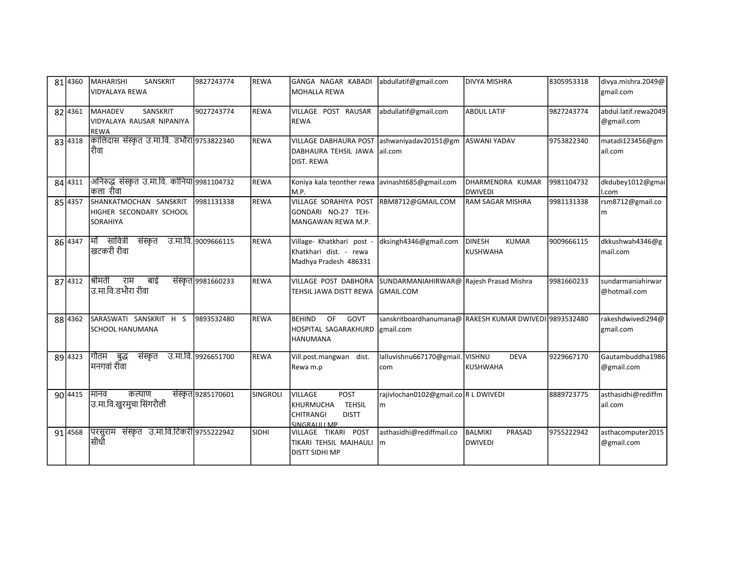| 81 4360 | <b>MAHARISHI</b><br>SANSKRIT<br>VIDYALAYA REWA                         | 9827243774          | REWA        | GANGA NAGAR KABADI<br><b>MOHALLA REWA</b>                                                                | abdullatif@gmail.com                                                | <b>DIVYA MISHRA</b>                                     | 8305953318 | divya.mishra.2049@<br>gmail.com    |
|---------|------------------------------------------------------------------------|---------------------|-------------|----------------------------------------------------------------------------------------------------------|---------------------------------------------------------------------|---------------------------------------------------------|------------|------------------------------------|
| 82 4361 | <b>MAHADEV</b><br>SANSKRIT<br>VIDYALAYA RAUSAR NIPANIYA<br><b>REWA</b> | 9027243774          | <b>REWA</b> | VILLAGE POST RAUSAR<br><b>I</b> REWA                                                                     | abdullatif@gmail.com                                                | ABDUL LATIF                                             | 9827243774 | abdul.latif.rewa2049<br>@gmail.com |
| 83 4318 | कालिदास संस्कृत उ.मा.वि. डभौरा 9753822340<br>रीवा                      |                     | <b>REWA</b> | VILLAGE DABHAURA POST ashwaniyadav20151@gm<br>DABHAURA TEHSIL JAWA<br><b>DIST. REWA</b>                  | ail.com                                                             | <b>ASWANI YADAV</b>                                     | 9753822340 | matadi123456@gm<br>ail.com         |
| 84 4311 | अनिरुद्ध संस्कृत उ.मा.वि. कोनिया 9981104732<br>कला रीवा                |                     | <b>REWA</b> | Koniya kala teonther rewa avinasht685@gmail.com<br>M.P.                                                  |                                                                     | DHARMENDRA KUMAR<br>DWIVEDI                             | 9981104732 | dkdubey1012@gmai<br>l.com          |
| 85 4357 | SHANKATMOCHAN SANSKRIT<br>HIGHER SECONDARY SCHOOL<br>SORAHIYA          | 9981131338          | <b>REWA</b> | VILLAGE SORAHIYA POST RBM8712@GMAIL.COM<br>GONDARI NO-27 TEH-<br>MANGAWAN REWA M.P.                      |                                                                     | <b>RAM SAGAR MISHRA</b>                                 | 9981131338 | rsm8712@gmail.co<br>m              |
| 86 4347 | मिँ सावित्री<br>संस्कृत उ.मा.वि. 9009666115<br>खटकरी रीवा              |                     | <b>REWA</b> | Village- Khatkhari post -<br>Khatkhari dist. - rewa<br>Madhya Pradesh 486331                             | dksingh4346@gmail.com                                               | <b>DINESH</b><br><b>KUMAR</b><br><i><b>KUSHWAHA</b></i> | 9009666115 | dkkushwah4346@g<br>mail.com        |
| 87 4312 | श्रीमती<br>राम बाई<br>उ.मा.वि.डभौरा रीवा                               | संस्कृत 9981660233  | <b>REWA</b> | VILLAGE POST DABHORA<br>TEHSIL JAWA DISTT REWA                                                           | SUNDARMANIAHIRWAR@ Rajesh Prasad Mishra<br>GMAIL.COM                |                                                         | 9981660233 | sundarmaniahirwar<br>@hotmail.com  |
| 88 4362 | SARASWATI SANSKRIT H S<br><b>SCHOOL HANUMANA</b>                       | 9893532480          | <b>REWA</b> | <b>OF</b><br><b>BEHIND</b><br>GOVT<br>HOSPITAL SAGARAKHURD<br><b>HANUMANA</b>                            | sanskritboardhanumana@ RAKESH KUMAR DWIVEDI 9893532480<br>gmail.com |                                                         |            | rakeshdwivedi294@<br>gmail.com     |
| 89 4323 | गौतम बुद्ध<br>संस्कृत<br>मनगवां रीवा                                   | उ.मा.वि. 9926651700 | <b>REWA</b> | Vill.post.mangwan dist.<br>Rewa m.p                                                                      | lalluvishnu667170@gmail. VISHNU<br>com                              | <b>DEVA</b><br>KUSHWAHA                                 | 9229667170 | Gautambuddha1986<br>@gmail.com     |
| 90 4415 | मानव<br>कल्याण<br>उ.मा.वि.खुरमुचा सिंगरौली                             | संस्कृत 9285170601  | SINGROLI    | POST<br>VILLAGE<br><b>TEHSIL</b><br>KHURMUCHA<br><b>CHITRANGI</b><br><b>DISTT</b><br><b>SINGRAULL MP</b> | rajivlochan0102@gmail.co R L DWIVEDI<br>m                           |                                                         | 8889723775 | asthasidhi@rediffm<br>ail.com      |
| 91 4568 | परसुराम संस्कृत उ.मा.वि.टिकरी 9755222942<br>सीधीँ                      |                     | SIDHI       | VILLAGE TIKARI POST<br>TIKARI TEHSIL MAJHAULI<br>DISTT SIDHI MP                                          | asthasidhi@rediffmail.co<br>Im                                      | BALMIKI<br>PRASAD<br>DWIVEDI                            | 9755222942 | asthacomputer2015<br>@gmail.com    |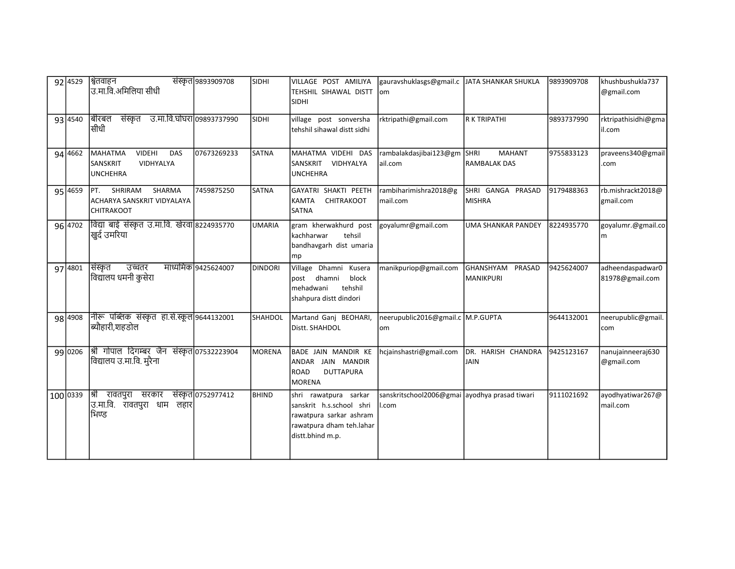| $92\sqrt{4529}$ | श्वितवाहन<br>उ.मा.वि.अमिलिया सीधी                                                  | संस्कृत 9893909708  | SIDHI          | VILLAGE POST AMILIYA<br>TEHSHIL SIHAWAL DISTT<br><b>SIDHI</b>                                                                | gauravshuklasgs@gmail.c JJATA SHANKAR SHUKLA<br>lom    |                                              | 9893909708 | khushbushukla737<br>@gmail.com      |
|-----------------|------------------------------------------------------------------------------------|---------------------|----------------|------------------------------------------------------------------------------------------------------------------------------|--------------------------------------------------------|----------------------------------------------|------------|-------------------------------------|
| 93 4540         | उ.मा.वि.घोघरा 09893737990<br>बीरबल<br>संस्कृत<br>सीधी                              |                     | <b>SIDHI</b>   | village post sonversha<br>tehshil sihawal distt sidhi                                                                        | rktripathi@gmail.com                                   | <b>R K TRIPATHI</b>                          | 9893737990 | rktripathisidhi@gma<br>il.com       |
| 94 4662         | <b>VIDEHI</b><br>MAHATMA<br>DAS<br><b>SANSKRIT</b><br>VIDHYALYA<br><b>UNCHEHRA</b> | 07673269233         | <b>SATNA</b>   | MAHATMA VIDEHI DAS<br>SANSKRIT VIDHYALYA<br><b>UNCHEHRA</b>                                                                  | rambalakdasjibai123@gm<br>ail.com                      | SHRI<br><b>MAHANT</b><br><b>RAMBALAK DAS</b> | 9755833123 | praveens340@gmail<br>.com           |
| 95 4659         | SHRIRAM<br>SHARMA<br>IPT.<br>ACHARYA SANSKRIT VIDYALAYA<br><b>CHITRAKOOT</b>       | 7459875250          | <b>SATNA</b>   | GAYATRI SHAKTI PEETH<br><b>KAMTA</b><br><b>CHITRAKOOT</b><br><b>SATNA</b>                                                    | rambiharimishra2018@g<br>mail.com                      | SHRI GANGA PRASAD<br><b>MISHRA</b>           | 9179488363 | rb.mishrackt2018@<br>gmail.com      |
| 96 4702         | विद्या बाई संस्कृत उ.मा.वि. खेरवा 8224935770<br>खुर्द उमरिया                       |                     | <b>UMARIA</b>  | gram kherwakhurd post<br>lkachharwar<br>tehsil<br>bandhavgarh dist umaria<br>mp                                              | goyalumr@gmail.com                                     | <b>UMA SHANKAR PANDEY</b>                    | 8224935770 | goyalumr.@gmail.co<br>m             |
| 97 4801         | सिंस्कृत<br>उच्चतर<br> विद्यालय धमनी कुसेरा                                        | माध्यमिक 9425624007 | <b>DINDORI</b> | Village Dhamni<br>Kusera<br>dhamni<br>block<br>post<br>tehshil<br>mehadwani<br>shahpura distt dindori                        | manikpuriop@gmail.com                                  | GHANSHYAM PRASAD<br>IMANIKPURI               | 9425624007 | adheendaspadwar0<br>81978@gmail.com |
| 98 4908         | नीरू पब्लिक संस्कृत हा.से.स्कूल 9644132001<br>ब्यौहारी,शहडोल                       |                     | SHAHDOL        | Martand Ganj BEOHARI,<br>Distt. SHAHDOL                                                                                      | neerupublic2016@gmail.c M.P.GUPTA<br>om                |                                              | 9644132001 | neerupublic@gmail.<br>com           |
| 99 0206         | श्री गोपाल दिगम्बर जैन संस्कृत 07532223904<br> विद्यालय उ.मा.वि. मुरैना            |                     | MORENA         | <b>BADE</b> JAIN MANDIR KE<br>ANDAR JAIN MANDIR<br>ROAD<br><b>DUTTAPURA</b><br>MORENA                                        | hcjainshastri@gmail.com                                | DR. HARISH CHANDRA<br><b>JAIN</b>            | 9425123167 | nanujainneeraj630<br>@gmail.com     |
| 100 0339        | श्री रावतपुरा सरकार<br> उ.मा.वि. रावतपुरा धाम लहार <br>भिण्ड                       | संस्कृत 0752977412  | <b>BHIND</b>   | shri rawatpura sarkar<br>sanskrit h.s.school shri<br>rawatpura sarkar ashram<br>rawatpura dham teh.lahar<br>distt.bhind m.p. | sanskritschool2006@gmai ayodhya prasad tiwari<br>l.com |                                              | 9111021692 | ayodhyatiwar267@<br>mail.com        |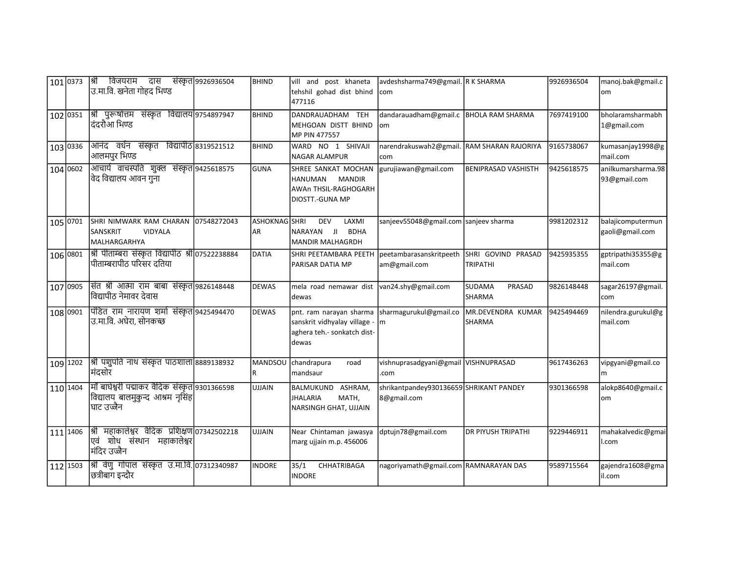|          | 101 0373  श्री विजयराम दास संस्कृत 9926936504<br> उ.मा.वि. खनेता गोहद भिण्ड                        |             | <b>BHIND</b>        | vill and post khaneta<br>tehshil gohad dist bhind<br>477116                                                                | avdeshsharma749@gmail. R K SHARMA<br><b>com</b>        |                                       | 9926936504 | manoj.bak@gmail.c<br>om              |
|----------|----------------------------------------------------------------------------------------------------|-------------|---------------------|----------------------------------------------------------------------------------------------------------------------------|--------------------------------------------------------|---------------------------------------|------------|--------------------------------------|
| 102 0351 | श्री पुरूषोत्तम संस्कृत विद्यालय 9754897947<br>दंदरौँआ भिण्ड                                       |             | <b>BHIND</b>        | DANDRAUADHAM TEH<br>MEHGOAN DISTT BHIND<br>MP PIN 477557                                                                   | dandarauadham@gmail.c   BHOLA RAM SHARMA<br>lom        |                                       | 7697419100 | bholaramsharmabh<br>1@gmail.com      |
| 103 0336 | आनंद वर्धन संस्कृत विद्यापीठ 8319521512<br>आलमपुर भिण्ड                                            |             | <b>BHIND</b>        | WARD NO 1 SHIVAJI<br><b>NAGAR ALAMPUR</b>                                                                                  | narendrakuswah2@gmail. RAM SHARAN RAJORIYA<br>com      |                                       | 9165738067 | kumasanjay1998@g<br>mail.com         |
| 104 0602 | आचार्य वाचस्पति शुक्ल संस्कृत 9425618575<br>विद विद्यालय आवन गुना                                  |             | <b>GUNA</b>         | SHREE SANKAT MOCHAN<br>HANUMAN<br><b>MANDIR</b><br><b>AWAn THSIL-RAGHOGARH</b><br>DIOSTT.-GUNA MP                          | gurujiawan@gmail.com                                   | <b>BENIPRASAD VASHISTH</b>            | 9425618575 | anilkumarsharma.98<br>93@gmail.com   |
| 105 0701 | SHRI NIMWARK RAM CHARAN<br>SANSKRIT<br><b>VIDYALA</b><br>MALHARGARHYA                              | 07548272043 | ASHOKNAG SHRI<br>AR | <b>DEV</b><br>LAXMI<br><b>BDHA</b><br>NARAYAN JI<br>MANDIR MALHAGRDH                                                       | sanjeev55048@gmail.com sanjeev sharma                  |                                       | 9981202312 | balajicomputermun<br>gaoli@gmail.com |
| 106 0801 | श्री पीताम्बरा संस्कृत विद्यापीठ श्री 07522238884<br>पीताम्बरापीठ परिसर दतिया                      |             | <b>DATIA</b>        | SHRI PEETAMBARA PEETH   peetambarasanskritpeeth<br>PARISAR DATIA MP                                                        | am@gmail.com                                           | SHRI GOVIND PRASAD<br><b>TRIPATHI</b> | 9425935355 | gptripathi35355@g<br>mail.com        |
| 107 0905 | संत श्री आत्मा राम बाबा संस्कृत 9826148448<br>विद्यापीठ नेमावर देवास                               |             | <b>DEWAS</b>        | mela road nemawar dist van24.shy@gmail.com<br>dewas                                                                        |                                                        | <b>SUDAMA</b><br>PRASAD<br>SHARMA     | 9826148448 | sagar26197@gmail.<br>com             |
| 108 0901 | पिंडित राम नारायण शर्मा संस्कृत 9425494470<br>उ.मा.वि. अघेरा, सोनकच्छ                              |             | <b>DEWAS</b>        | pnt. ram narayan sharma Ssharmagurukul@gmail.co<br>sanskrit vidhyalay village - m<br>aghera teh .- sonkatch dist-<br>dewas |                                                        | MR.DEVENDRA KUMAR<br><b>SHARMA</b>    | 9425494469 | nilendra.gurukul@g<br>mail.com       |
| 109 1202 | श्री पशुपति नाथ संस्कृत पाठशाला 8889138932<br> मंदसोर                                              |             | MANDSOU<br>R.       | chandrapura<br>road<br>mandsaur                                                                                            | vishnuprasadgyani@gmail VISHNUPRASAD<br>.com           |                                       | 9617436263 | vipgyani@gmail.co<br>m               |
| 110 1404 | मॉि बाघेश्वरी पद्माकर वैदिक संस्कृत 9301366598<br> विद्यालय बालमुकुन्द आश्रम नृसिंह <br>घाट उज्जैन |             | <b>UJJAIN</b>       | BALMUKUND ASHRAM,<br><b>JHALARIA</b><br>MATH,<br>NARSINGH GHAT, UJJAIN                                                     | shrikantpandey930136659 SHRIKANT PANDEY<br>8@gmail.com |                                       | 9301366598 | alokp8640@gmail.c<br>om              |
| 111 1406 | श्री महाकालेश्वर वैदिक प्रशिक्षण 07342502218<br> एवं शोध संस्थान महाकालेश्वर <br>मंदिर उज्जैन      |             | <b>UJJAIN</b>       | Near Chintaman jawasya<br>marg ujjain m.p. 456006                                                                          | dptujn78@gmail.com                                     | <b>DR PIYUSH TRIPATHI</b>             | 9229446911 | mahakalvedic@gmai<br>l.com           |
| 112 1503 | श्री वेणु गोपाल संस्कृत उ.मा.वि. 07312340987<br>छित्रीबाग इन्दौर                                   |             | <b>INDORE</b>       | 35/1<br>CHHATRIBAGA<br><b>INDORE</b>                                                                                       | nagoriyamath@gmail.com RAMNARAYAN DAS                  |                                       | 9589715564 | gajendra1608@gma<br>lil.com          |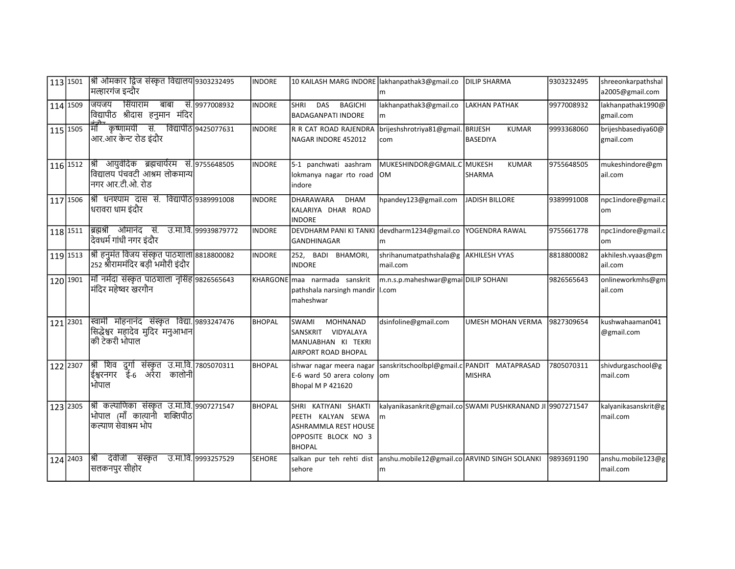|          | 113 1501  श्री ओमकार द्विज संस्कृत विद्यालय 9303232495<br> मल्हारगंज इन्दौर                         |                      | <b>INDORE</b> | 10 KAILASH MARG INDORE lakhanpathak3@gmail.co                                                             | m                                                               | <b>DILIP SHARMA</b>           | 9303232495 | shreeonkarpathshal<br>a2005@gmail.com |
|----------|-----------------------------------------------------------------------------------------------------|----------------------|---------------|-----------------------------------------------------------------------------------------------------------|-----------------------------------------------------------------|-------------------------------|------------|---------------------------------------|
| 114 1509 | सिंयाराम बाबा सं. 9977008932<br>जियजय<br>विद्यापीठ श्रीदास हनुमान मंदिर                             |                      | <b>INDORE</b> | DAS BAGICHI<br><b>SHRI</b><br><b>BADAGANPATI INDORE</b>                                                   | lakhanpathak3@gmail.co<br>m                                     | <b>LAKHAN PATHAK</b>          | 9977008932 | lakhanpathak1990@<br>gmail.com        |
| 115 1505 | माँ कृष्णामयी सं. विद्यापीठ 9425077631<br>आर.ऑर केन्ट रोड इंदौर                                     |                      | <b>INDORE</b> | R R CAT ROAD RAJENDRA brijeshshrotriya81@gmail. BRIJESH<br>NAGAR INDORE 452012                            | com                                                             | <b>KUMAR</b><br>BASEDIYA      | 9993368060 | brijeshbasediya60@<br>gmail.com       |
| 116 1512 | श्री आयुर्वेदिक ब्रह्मचार्यरम सं. 9755648505<br>विद्यालय पंचवटी आश्रम लोकमान्य <br>नगर आर.टी.ओ. रोड |                      | <b>INDORE</b> | 5-1 panchwati aashram<br>lokmanya nagar rto road<br>Indore                                                | MUKESHINDOR@GMAIL.C MUKESH<br><b>IOM</b>                        | <b>KUMAR</b><br><b>SHARMA</b> | 9755648505 | mukeshindore@gm<br>ail.com            |
| 117 1506 | श्री धनश्याम दास सं. विद्यापीठ 9389991008<br> धरावरा धाम इंदौर                                      |                      | <b>INDORE</b> | DHARAWARA<br><b>DHAM</b><br>IKALARIYA DHAR ROAD<br>IINDORE                                                | hpandey123@gmail.com  JADISH BILLORE                            |                               | 9389991008 | npc1indore@gmail.c<br>lom             |
| 118 1511 | ब्रिह्मश्री ओमानंद सं.<br>दिवधर्म गांधी नगर इंदौर                                                   | उ.मा.वि. 99939879772 | <b>INDORE</b> | DEVDHARM PANI KI TANKI devdharm1234@gmail.co<br><b>GANDHINAGAR</b>                                        | lm                                                              | IYOGENDRA RAWAL               | 9755661778 | npc1indore@gmail.c<br>om              |
| 119 1513 | श्री हनुमंत विजय संस्कृत पाठशाला 8818800082<br>252 श्रीराममंदिर बड़ी भमौरी इंदौर                    |                      | <b>INDORE</b> | 252, BADI<br><b>BHAMORI,</b><br><b>INDORE</b>                                                             | shrihanumatpathshala@g   AKHILESH VYAS<br>mail.com              |                               | 8818800082 | akhilesh.vyaas@gm<br>ail.com          |
| 120 1901 | मॉ नर्मदा संस्कृत पाठशाला नृसिंह 9826565643<br>मंदिर महेष्वर खरगौन                                  |                      |               | KHARGONE maa narmada sanskrit<br>pathshala narsingh mandir I.com<br>lmaheshwar                            | m.n.s.p.maheshwar@gmai DILIP SOHANI                             |                               | 9826565643 | onlineworkmhs@gm<br>ail.com           |
| 121 2301 | स्वामी मोहनानंद संस्कृत विद्या. 9893247476<br>सिद्धेश्वर महादेव मुदिर मनुआभान <br>की टेकरी भोपाल    |                      | <b>BHOPAL</b> | MOHNANAD<br><b>SWAMI</b><br>SANSKRIT VIDYALAYA<br>MANUABHAN KI TEKRI<br>AIRPORT ROAD BHOPAL               | dsinfoline@gmail.com                                            | UMESH MOHAN VERMA             | 9827309654 | kushwahaaman041<br>@gmail.com         |
| 122 2307 | श्री शिव दुर्गा संस्कृत उ.मा.वि. 7805070311<br>ईश्वरनगर ई-6 अरेरा<br>कालोनी<br>भोपाल                |                      | <b>BHOPAL</b> | Iishwar nagar meera nagar<br>E-6 ward 50 arera colony om<br>Bhopal M P 421620                             | sanskritschoolbpl@gmail.c PANDIT MATAPRASAD                     | <b>MISHRA</b>                 | 7805070311 | shivdurgaschool@g<br>mail.com         |
| 123 2305 | श्री कल्याणिका संस्कृत उ.मा.वि. 9907271547<br>भोपाल (माँ कात्यानी शक्तिपीठ<br>कल्याण सेवाश्रम भोप   |                      | <b>BHOPAL</b> | SHRI KATIYANI SHAKTI<br>PEETH KALYAN SEWA<br>ASHRAMMLA REST HOUSE<br>OPPOSITE BLOCK NO 3<br><b>BHOPAL</b> | kalyanikasankrit@gmail.co SWAMI PUSHKRANAND JI 9907271547<br>lm |                               |            | kalyanikasanskrit@g<br>mail.com       |
| 124 2403 | श्री देवीजी संस्कृत<br>सलकनपुर सीहोर                                                                | उ.मा.वि. 9993257529  | <b>SEHORE</b> | salkan pur teh rehti dist anshu.mobile12@gmail.co ARVIND SINGH SOLANKI<br>Isehore                         | l m                                                             |                               | 9893691190 | anshu.mobile123@g<br>mail.com         |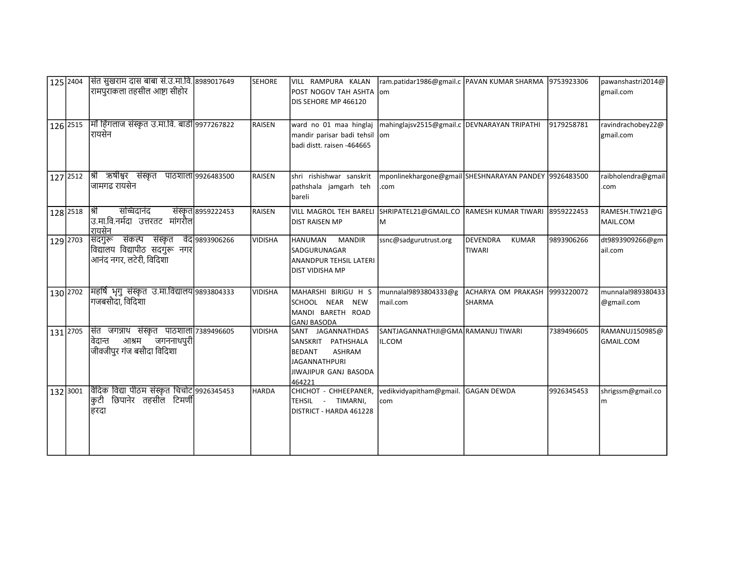| 125 2404 | सित सुखराम दास बाबा सं.उ.मा.वि. 8989017649<br> रामपुराकला तहसील आष्टा सीहोर                           |                    | <b>SEHORE</b>  | VILL RAMPURA KALAN<br>POST NOGOV TAH ASHTA Jom<br>DIS SEHORE MP 466120                                                        | ram.patidar1986@gmail.c   PAVAN KUMAR SHARMA   9753923306     |                                                |            | pawanshastri2014@<br>gmail.com     |
|----------|-------------------------------------------------------------------------------------------------------|--------------------|----------------|-------------------------------------------------------------------------------------------------------------------------------|---------------------------------------------------------------|------------------------------------------------|------------|------------------------------------|
| 126 2515 | मॉ हिंगलाज संस्कृत उ.मा.वि. बाडी 9977267822<br>शियसेन                                                 |                    | RAISEN         | ward no 01 maa hinglaj<br>mandir parisar badi tehsil<br>badi distt. raisen -464665                                            | mahinglajsv2515@gmail.c DEVNARAYAN TRIPATHI<br>lom            |                                                | 9179258781 | ravindrachobey22@<br>gmail.com     |
| 127 2512 | श्री ऋषीश्वर संस्कृत पाठशाला 9926483500<br> जामगढ रायसेन                                              |                    | RAISEN         | shri rishishwar sanskrit<br>pathshala jamgarh teh<br>bareli                                                                   | mponlinekhargone@gmail SHESHNARAYAN PANDEY 9926483500<br>.com |                                                |            | raibholendra@gmail<br>.com         |
| 128 2518 | सचिदानंद<br> श्री<br>उ.मा.वि.नर्मदा उत्तरतट मांगरौल <br>रायसेन                                        | संस्कृत 8959222453 | RAISEN         | VILL MAGROL TEH BARELI SHRIPATEL21@GMAIL.CO RAMESH KUMAR TIWARI 8959222453<br><b>DIST RAISEN MP</b>                           | ΙM                                                            |                                                |            | RAMESH.TIW21@G<br>MAIL.COM         |
| 129 2703 | संकल्प संस्कृत वेद 9893906266<br> सदगुरू<br>विद्यालय विद्यापीठ सदगुरू नगर<br>आनंद नगर, लटेरी, विदिशा  |                    | <b>VIDISHA</b> | <b>HANUMAN</b><br><b>MANDIR</b><br><b>SADGURUNAGAR</b><br>ANANDPUR TEHSIL LATERI<br>DIST VIDISHA MP                           | ssnc@sadgurutrust.org                                         | DEVENDRA<br><b>KUMAR</b><br><b>TIWARI</b>      | 9893906266 | dt9893909266@gm<br>ail.com         |
| 130 2702 | मिहर्षि भृगु संस्कृत उ.मा.विद्यालय 9893804333<br> गजबसौदा, विदिशा                                     |                    | <b>VIDISHA</b> | MAHARSHI BIRIGU H S<br>SCHOOL NEAR NEW<br>MANDI BARETH ROAD<br><b>GANJ BASODA</b>                                             | munnalal9893804333@g<br>mail.com                              | ACHARYA OM PRAKASH 9993220072<br><b>SHARMA</b> |            | munnalal989380433<br>@gmail.com    |
| 131 2705 | संत जगन्नाथ संस्कृत पाठशाला 7389496605<br>जगननाथपुरी<br>आश्रम<br>विदान्त<br>जीवजीपुर गंज बसौदा विदिशा |                    | <b>VIDISHA</b> | SANT JAGANNATHDAS<br>SANSKRIT PATHSHALA<br>BEDANT<br><b>ASHRAM</b><br><b>JAGANNATHPURI</b><br>JIWAJIPUR GANJ BASODA<br>464221 | SANTJAGANNATHJI@GMA RAMANUJ TIWARI<br>IL.COM                  |                                                | 7389496605 | RAMANUJ150985@<br><b>GMAIL.COM</b> |
| 132 3001 | विदिक विद्या पीठम संस्कृत चिचोट]9926345453<br> कुटी छिपानेर तहसील टिमर्णी <br>हिरदा                   |                    | <b>HARDA</b>   | CHICHOT - CHHEEPANER,<br>TEHSIL - TIMARNI,<br>DISTRICT - HARDA 461228                                                         | vedikvidyapitham@gmail.<br>com                                | <b>GAGAN DEWDA</b>                             | 9926345453 | shrigssm@gmail.co<br>m             |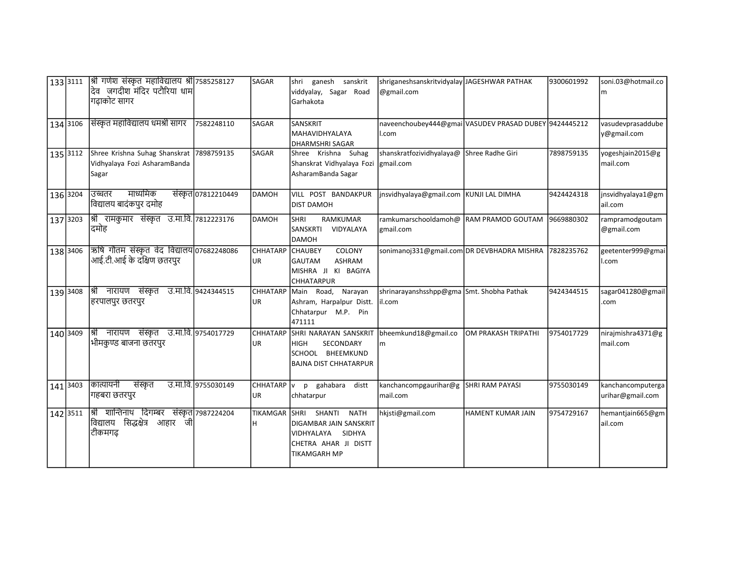|          | 133 3111 | श्री गणेश संस्कृत महाविद्यालय श्री 7585258127<br>देव जगदीश मंदिर पटौरिया धाम<br>गढ़ाकोट सागर |                     | SAGAR            | ganesh sanskrit<br>Ishri<br>viddyalay, Sagar Road<br>Garhakota                                                                             | shriganeshsanskritvidyalay JAGESHWAR PATHAK<br>@gmail.com      |                          | 9300601992 | soni.03@hotmail.co<br>m               |
|----------|----------|----------------------------------------------------------------------------------------------|---------------------|------------------|--------------------------------------------------------------------------------------------------------------------------------------------|----------------------------------------------------------------|--------------------------|------------|---------------------------------------|
| 134 3106 |          | सिंस्कृत महाविद्यालय धमश्री सागर                                                             | 7582248110          | SAGAR            | SANSKRIT<br>MAHAVIDHYALAYA<br><b>DHARMSHRI SAGAR</b>                                                                                       | naveenchoubey444@gmai VASUDEV PRASAD DUBEY 9424445212<br>l.com |                          |            | vasudevprasaddube<br>y@gmail.com      |
|          |          | 135 3112 Shree Krishna Suhag Shanskrat 7898759135<br>Vidhyalaya Fozi AsharamBanda<br>Sagar   |                     | SAGAR            | Shree Krishna Suhag<br>Shanskrat Vidhyalaya Fozi<br>AsharamBanda Sagar                                                                     | shanskratfozividhyalaya@ Shree Radhe Giri<br>gmail.com         |                          | 7898759135 | yogeshjain2015@g<br>mail.com          |
|          | 136 3204 | माध्यमिक<br>उच्चतर<br> विद्यालय बादंकपुर दमोह                                                | संस्कृत 07812210449 | <b>DAMOH</b>     | VILL POST BANDAKPUR<br><b>DIST DAMOH</b>                                                                                                   | jnsvidhyalaya@gmail.com   KUNJI LAL DIMHA                      |                          | 9424424318 | jnsvidhyalaya1@gm<br>ail.com          |
| 137 3203 |          | श्री रामकुमार संस्कृत उ.मा.वि. 7812223176<br>दमोह                                            |                     | <b>DAMOH</b>     | <b>RAMKUMAR</b><br>lshri<br>VIDYALAYA<br><b>SANSKRTI</b><br>DAMOH                                                                          | ramkumarschooldamoh@ RAM PRAMOD GOUTAM<br>gmail.com            |                          | 9669880302 | rampramodgoutam<br>@gmail.com         |
| 138 3406 |          | ऋषि गौतम संस्कृत वेद विद्यालय 07682248086<br>आई.टी.आई के दक्षिण छतरपुर                       |                     | CHHATARP<br>UR.  | COLONY<br><b>CHAUBEY</b><br><b>ASHRAM</b><br>lgautam<br>MISHRA JI KI BAGIYA<br><b>CHHATARPUR</b>                                           | sonimanoj331@gmail.com DR DEVBHADRA MISHRA                     |                          | 7828235762 | geetenter999@gmai<br>l.com            |
|          | 139 3408 | श्री नारायण संस्कृत उ.मा.वि. 9424344515<br>हिरपालपुर छतरपुर                                  |                     | CHHATARP<br>UR.  | Narayan<br>Main Road,<br>Ashram, Harpalpur Distt.<br>Chhatarpur M.P. Pin<br>471111                                                         | shrinarayanshsshpp@gma Smt. Shobha Pathak<br>il.com            |                          | 9424344515 | sagar041280@gmail<br>.com             |
|          | 140 3409 | श्री नारायण संस्कृत उ.मा.वि. 9754017729<br>भीमकूण्ड बाजना छतरपुर                             |                     | CHHATARP<br>UR   | SHRI NARAYAN SANSKRIT<br>SECONDARY<br> HIGH<br>SCHOOL BHEEMKUND<br><b>BAJNA DIST CHHATARPUR</b>                                            | bheemkund18@gmail.co<br>m                                      | OM PRAKASH TRIPATHI      | 9754017729 | nirajmishra4371@g<br>mail.com         |
| 141 3403 |          | कात्यायनी<br>संस्कृत<br>गहबरा छतरपुर                                                         | उ.मा.वि. 9755030149 | CHHATARP V<br>UR | p gahabara<br>distt<br>chhatarpur                                                                                                          | kanchancompgaurihar@g<br>mail.com                              | <b>SHRI RAM PAYASI</b>   | 9755030149 | kanchancomputerga<br>urihar@gmail.com |
| 142 3511 |          | श्री शान्तिनाथ दिगम्बर<br>विद्यालय सिद्धक्षेत्र<br>आहार<br>जी<br>टीकमगढ़                     | संस्कृत 7987224204  | TIKAMGAR<br>н    | <b>SHRI</b><br>SHANTI<br><b>NATH</b><br><b>DIGAMBAR JAIN SANSKRIT</b><br>IVIDHYALAYA SIDHYA<br>CHETRA AHAR JI DISTT<br><b>TIKAMGARH MP</b> | hkjsti@gmail.com                                               | <b>HAMENT KUMAR JAIN</b> | 9754729167 | hemantjain665@gm<br>ail.com           |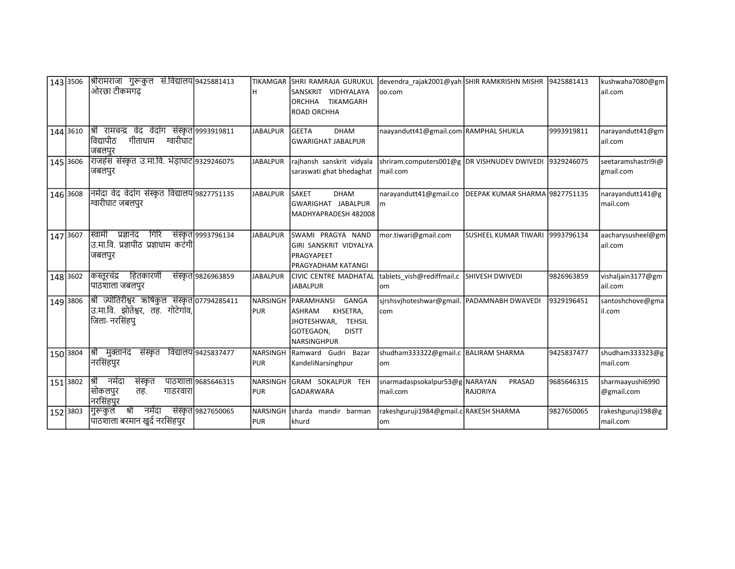| 143 3506 |          | श्रीरामराजा गुरूकुल सं.विद्यालय 9425881413<br>ओरछा टीकमगढ                                          |                     | TIKAMGAR                      | <b>SHRI RAMRAJA GURUKUL</b><br>İSANSKRIT VIDHYALAYA<br>TIKAMGARH<br><b>ORCHHA</b><br><b>ROAD ORCHHA</b>                 | devendra_rajak2001@yah SHIR RAMKRISHN MISHR 9425881413<br>00.com   |                                   |            | kushwaha7080@gm<br>ail.com      |
|----------|----------|----------------------------------------------------------------------------------------------------|---------------------|-------------------------------|-------------------------------------------------------------------------------------------------------------------------|--------------------------------------------------------------------|-----------------------------------|------------|---------------------------------|
| 144 3610 |          | श्री रामचन्द्र वेद वेदांग संस्कृत 9993919811<br>विद्यापीठ<br>गीताधाम<br>ग्वारीघाट<br>जबलपुर        |                     | <b>JABALPUR</b>               | <b>GEETA</b><br><b>DHAM</b><br><b>GWARIGHAT JABALPUR</b>                                                                | naayandutt41@gmail.com RAMPHAL SHUKLA                              |                                   | 9993919811 | narayandutt41@gm<br>ail.com     |
| 145 3606 |          | राजहंस संस्कृत उ.मा.वि. भेड़ाघाट 9329246075<br>जबलपुर                                              |                     | <b>JABALPUR</b>               | rajhansh sanskrit vidyala<br>saraswati ghat bhedaghat                                                                   | shriram.computers001@g DR VISHNUDEV DWIVEDI 9329246075<br>mail.com |                                   |            | seetaramshastri9i@<br>gmail.com |
| 146 3608 |          | नर्मदा वेद वेदांग संस्कृत विद्यालय 9827751135<br>ग्वारीघाट जबलपुर                                  |                     | <b>JABALPUR</b>               | <b>SAKET</b><br><b>DHAM</b><br>İGWARIGHAT JABALPUR<br>MADHYAPRADESH 482008                                              | narayandutt41@gmail.co<br>m                                        | DEEPAK KUMAR SHARMA 9827751135    |            | narayandutt141@g<br>mail.com    |
| 147 3607 |          | प्रज्ञानंद गिरि<br>स्वामी<br>उ.मा.वि. प्रज्ञापीठ प्रज्ञाधाम कटंगी <br>जबलपुर                       | संस्कृत 9993796134  | <b>JABALPUR</b>               | ISWAMI PRAGYA NAND<br>GIRI SANSKRIT VIDYALYA<br><b>PRAGYAPEET</b><br>IPRAGYADHAM KATANGI                                | mor.tiwari@gmail.com                                               | lsusheel kumar Tiwari 19993796134 |            | aacharysusheel@gm<br>ail.com    |
|          | 148 3602 | हितकारणी<br>कस्तूरचंद्र<br>पाठशाला जबलपुर                                                          | संस्कृत 9826963859  | <b>JABALPUR</b>               | CIVIC CENTRE MADHATAL<br><b>JABALPUR</b>                                                                                | tablets_vish@rediffmail.c<br>lom                                   | <b>SHIVESH DWIVEDI</b>            | 9826963859 | vishaljain3177@gm<br>ail.com    |
| 149 3806 |          | श्री ज्योतिरीश्वर ऋषिकुल संस्कृत 07794285411<br>उ.मा.वि. झोतेश्वर, तह. गोटेगांव,<br>जिला- नरसिंहपू |                     | <b>NARSINGH</b><br><b>PUR</b> | GANGA<br>PARAMHANSI<br>KHSETRA,<br>lashram<br><b>TEHSIL</b><br>JHOTESHWAR,<br>GOTEGAON,<br><b>DISTT</b><br>Inarsinghpur | sjrshsvjhoteshwar@gmail. PADAMNABH DWAVEDI<br>com                  |                                   | 9329196451 | santoshchove@gma<br>il.com      |
| 150 3804 |          | श्री मुक्तानंद<br>संस्कृत<br> नरसिंहपुर                                                            | विद्यालय 9425837477 | <b>PUR</b>                    | NARSINGH Ramward Gudri<br>Bazar<br>KandeliNarsinghpur                                                                   | shudham333322@gmail.c   BALIRAM SHARMA<br>lom                      |                                   | 9425837477 | shudham333323@g<br>mail.com     |
| 151 3802 |          | श्री नर्मदा<br>संस्कृत<br> सोकलपुर<br>तह.<br>गाडरवारा<br>नरसिंहपुर                                 | पाठशाला 9685646315  | <b>PUR</b>                    | NARSINGH GRAM SOKALPUR TEH<br><b>GADARWARA</b>                                                                          | snarmadaspsokalpur 53@g NARAYAN<br>mail.com                        | PRASAD<br>RAJORIYA                | 9685646315 | sharmaayushi6990<br>@gmail.com  |
| 152 3803 |          | श्री<br>नर्मदा<br>।गुरूकुल<br>पाठशाला बरमान खुर्द नरसिंहपुर                                        | संस्कृत 9827650065  | <b>NARSINGH</b><br><b>PUR</b> | <b>I</b> sharda<br>mandir barman<br><b>Ikhurd</b>                                                                       | rakeshguruji1984@gmail.c RAKESH SHARMA<br>lom                      |                                   | 9827650065 | rakeshguruji198@g<br>mail.com   |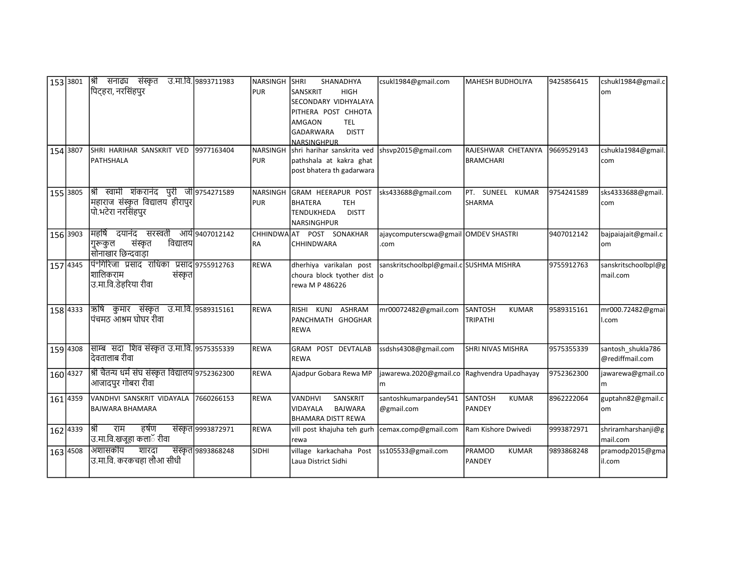| 153 3801 |          | श्री सनाढ्य संस्कृत<br>पिट्हरा, नरसिंहपुर                                                        | उ.मा.वि. 9893711983 | Inarsingh Ishri<br><b>PUR</b> | SHANADHYA<br><b>SANSKRIT</b><br><b>HIGH</b><br>SECONDARY VIDHYALAYA                                          | csukl1984@gmail.com                              | MAHESH BUDHOLIYA                                  | 9425856415 | cshukl1984@gmail.c<br>om             |
|----------|----------|--------------------------------------------------------------------------------------------------|---------------------|-------------------------------|--------------------------------------------------------------------------------------------------------------|--------------------------------------------------|---------------------------------------------------|------------|--------------------------------------|
|          |          |                                                                                                  |                     |                               | PITHERA POST CHHOTA<br><b>AMGAON</b><br><b>TEL</b><br><b>GADARWARA</b><br><b>DISTT</b><br><b>NARSINGHPUR</b> |                                                  |                                                   |            |                                      |
| 154 3807 |          | SHRI HARIHAR SANSKRIT VED<br><b>PATHSHALA</b>                                                    | 9977163404          | NARSINGH<br><b>PUR</b>        | shri harihar sanskrita ved shsvp2015@gmail.com<br>pathshala at kakra ghat<br>post bhatera th gadarwara       |                                                  | RAJESHWAR CHETANYA<br><b>BRAMCHARI</b>            | 9669529143 | cshukla1984@gmail.<br>com            |
|          | 155 3805 | श्री स्वामी शंकरानंद पुरी जी 9754271589<br>महाराज संस्कृत विद्यालय हीरापुर<br>पो.भटेरा नरसिंहपुर |                     | <b>PUR</b>                    | NARSINGH GRAM HEERAPUR POST<br>BHATERA<br><b>TEH</b><br><b>TENDUKHEDA</b><br><b>DISTT</b><br>NARSINGHPUR     | sks433688@gmail.com                              | PT. SUNEEL KUMAR<br>SHARMA                        | 9754241589 | sks4333688@gmail.<br>com             |
| 156 3903 |          | महर्षि दयानंद सरस्वती<br>विद्यालय<br>संस्कृत<br>गुरूकुल<br>सोनाखार छिन्दवाड़ा                    | आये 9407012142      | <b>RA</b>                     | CHHINDWAAT POST SONAKHAR<br><b>CHHINDWARA</b>                                                                | ajaycomputerscwa@gmail OMDEV SHASTRI<br>.com     |                                                   | 9407012142 | bajpaiajait@gmail.c<br>om            |
| 157 4345 |          | पिं°गिरिजा प्रसाद राधिका प्रसाद 9755912763<br>शालिकराम<br>संस्कृत<br>उ.मा.वि.डेहरिया रीवा        |                     | <b>REWA</b>                   | dherhiya varikalan post<br>choura block tyother dist o<br>rewa M P 486226                                    | sanskritschoolbpl@gmail.c SUSHMA MISHRA          |                                                   | 9755912763 | sanskritschoolbpl@g<br>mail.com      |
| 158 4333 |          | ऋषि कुमार संस्कृत उ.मा.वि. 9589315161<br>पंचमठ आश्रम घोघर रीवा                                   |                     | <b>REWA</b>                   | <b>KUNJ</b><br>ASHRAM<br><b>RISHI</b><br>PANCHMATH GHOGHAR<br><b>REWA</b>                                    | mr00072482@gmail.com                             | <b>SANTOSH</b><br><b>KUMAR</b><br><b>TRIPATHI</b> | 9589315161 | mr000.72482@gmai<br>l.com            |
|          | 159 4308 | साम्ब सदा शिव संस्कृत उ.मा.वि. 9575355339<br>दिवतालाब रीवा                                       |                     | <b>REWA</b>                   | GRAM POST DEVTALAB<br>REWA                                                                                   | ssdshs4308@gmail.com                             | SHRI NIVAS MISHRA                                 | 9575355339 | santosh_shukla786<br>@rediffmail.com |
| 160 4327 |          | श्री चैतन्य धर्म संघ संस्कृत विद्यालय 9752362300<br>आजादपुर गोबरा रीवा                           |                     | <b>REWA</b>                   | Ajadpur Gobara Rewa MP                                                                                       | Jawarewa.2020@gmail.co Raghvendra Upadhayay<br>m |                                                   | 9752362300 | jawarewa@gmail.co<br>m               |
|          | 161 4359 | VANDHVI SANSKRIT VIDAYALA<br>BAJWARA BHAMARA                                                     | 7660266153          | <b>REWA</b>                   | SANSKRIT<br>VANDHVI<br>VIDAYALA<br><b>BAJWARA</b><br><b>BHAMARA DISTT REWA</b>                               | santoshkumarpandey541<br>@gmail.com              | <b>SANTOSH</b><br><b>KUMAR</b><br><b>PANDEY</b>   | 8962222064 | guptahn82@gmail.c<br>om              |
|          | 162 4339 | हर्षण<br>श्री<br>राम<br>उ.मा.वि.खजूहा कलाॅ रीवा                                                  | संस्कृत 9993872971  | <b>REWA</b>                   | vill post khajuha teh gurh cemax.comp@gmail.com Ram Kishore Dwivedi<br>rewa                                  |                                                  |                                                   | 9993872971 | shriramharshanji@g<br>mail.com       |
|          | 163 4508 | अशासकीय शारदा<br>उ.मा.वि. करकचहा लौआ सीधी                                                        | संस्कृत 9893868248  | <b>SIDHI</b>                  | village karkachaha Post<br>Laua District Sidhi                                                               | ss105533@gmail.com                               | <b>PRAMOD</b><br><b>KUMAR</b><br>PANDEY           | 9893868248 | pramodp2015@gma<br>il.com            |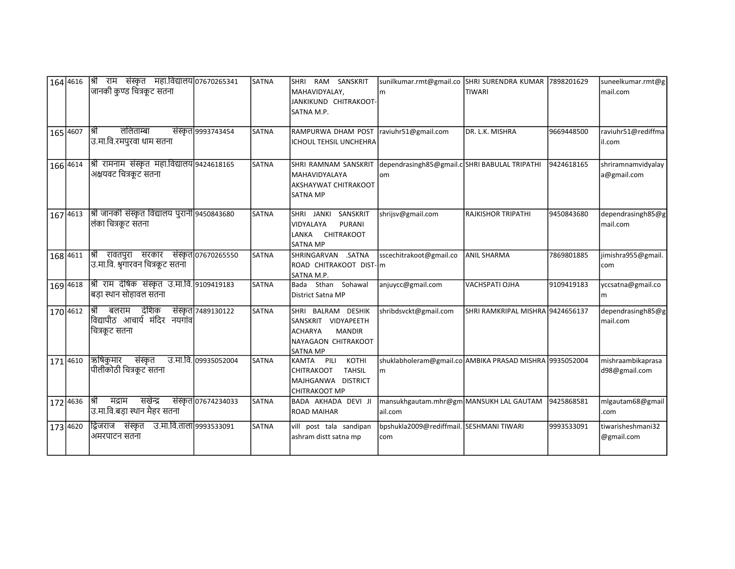| 165 4607 | 164 4616   श्री राम संस्कृत महा.विद्यालय 07670265341<br>जानकी कुण्ड चित्रकूट सतना<br>⊺श्री<br>ललिताम्बा<br> उ.मा.वि.रमपुरवा धाम सतना | संस्कृत 9993743454  | <b>SATNA</b><br><b>SATNA</b> | RAM SANSKRIT<br><b>SHRI</b><br>MAHAVIDYALAY,<br>JANKIKUND CHITRAKOOT-<br>SATNA M.P.<br>RAMPURWA DHAM POST   raviuhr51@gmail.com<br>ICHOUL TEHSIL UNCHEHRA | sunilkumar.rmt@gmail.co SHRI SURENDRA KUMAR 7898201629<br>Im  | <b>TIWARI</b><br>DR. L.K. MISHRA | 9669448500 | suneelkumar.rmt@g<br>mail.com<br>raviuhr51@rediffma<br>il.com |
|----------|--------------------------------------------------------------------------------------------------------------------------------------|---------------------|------------------------------|-----------------------------------------------------------------------------------------------------------------------------------------------------------|---------------------------------------------------------------|----------------------------------|------------|---------------------------------------------------------------|
| 166 4614 | श्री रामनाम संस्कृत महा.विद्यालय 9424618165<br>अक्षयवट चित्रकूट सतना                                                                 |                     | <b>SATNA</b>                 | SHRI RAMNAM SANSKRIT<br>MAHAVIDYALAYA<br>AKSHAYWAT CHITRAKOOT<br><b>SATNA MP</b>                                                                          | dependrasingh85@gmail.c SHRI BABULAL TRIPATHI<br>lom          |                                  | 9424618165 | shriramnamvidyalay<br>a@gmail.com                             |
| 167 4613 | श्री जानकी संस्कृत विद्यालय पुरानी 9450843680<br> लंका चित्रकूट सतना                                                                 |                     | SATNA                        | SHRI JANKI SANSKRIT<br>VIDYALAYA<br><b>PURANI</b><br>CHITRAKOOT<br>LANKA<br><b>SATNA MP</b>                                                               | shrijsv@gmail.com                                             | <b>RAJKISHOR TRIPATHI</b>        | 9450843680 | dependrasingh85@g<br>mail.com                                 |
| 168 4611 | श्री रावतपुरा सरकार संस्कृत 07670265550<br> उ.मा.वि. श्रुगारवन चित्रकूट सतना                                                         |                     | SATNA                        | SHRINGARVAN .SATNA<br>ROAD CHITRAKOOT DIST- m<br>SATNA M.P.                                                                                               | sscechitrakoot@gmail.co                                       | <b>ANIL SHARMA</b>               | 7869801885 | jimishra955@gmail.<br>com                                     |
| 169 4618 | श्री राम देषिक संस्कृत उ.मा.वि. 9109419183<br> बड़ा स्थान सोहावल संतना                                                               |                     | <b>SATNA</b>                 | Bada Sthan Sohawal<br>District Satna MP                                                                                                                   | anjuycc@gmail.com                                             | VACHSPATI OJHA                   | 9109419183 | yccsatna@gmail.co<br>m                                        |
| 170 4612 | श्री बलराम देशिक<br>विद्यापीठ आचार्य मंदिर नयगांव<br> चित्रकूट सतना                                                                  | संस्कृत 7489130122  | <b>SATNA</b>                 | SHRI BALRAM DESHIK<br>SANSKRIT VIDYAPEETH<br><b>MANDIR</b><br><b>ACHARYA</b><br>NAYAGAON CHITRAKOOT<br><b>SATNA MP</b>                                    | shribdsvckt@gmail.com                                         | SHRI RAMKRIPAL MISHRA 9424656137 |            | dependrasingh85@g<br>mail.com                                 |
| 171 4610 | ऋषिकुमार संस्कृत<br>उ.मा.वि. 09935052004<br>पीलीकोठी चित्रकूट सतना                                                                   |                     | SATNA                        | KOTHI<br>KAMTA PILI<br><b>TAHSIL</b><br>CHITRAKOOT<br>MAJHGANWA DISTRICT<br><b>CHITRAKOOT MP</b>                                                          | shuklabholeram@gmail.co AMBIKA PRASAD MISHRA 9935052004<br>lm |                                  |            | mishraambikaprasa<br>d98@gmail.com                            |
| 172 4636 | सखेन्द्र<br>मद्राम<br>श्री<br>उ.मा.वि.बड़ा स्थान मैहर सतना                                                                           | संस्कृत 07674234033 | <b>SATNA</b>                 | BADA AKHADA DEVI JI<br><b>ROAD MAIHAR</b>                                                                                                                 | mansukhgautam.mhr@gm MANSUKH LAL GAUTAM<br>lail.com           |                                  | 9425868581 | mlgautam68@gmail<br>.com                                      |
| 173 4620 | द्विजराज संस्कृत उ.मा.वि.ताला 9993533091<br>अमरपाटन सतना                                                                             |                     | SATNA                        | vill post tala sandipan<br>ashram distt satna mp                                                                                                          | bpshukla2009@rediffmail. SESHMANI TIWARI<br>com               |                                  | 9993533091 | tiwarisheshmani32<br>@gmail.com                               |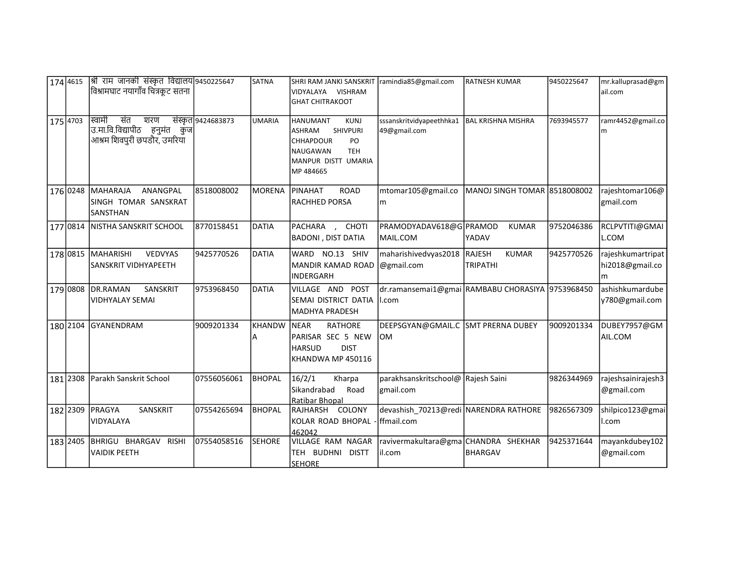|          | 174 4615 | श्री राम जानकी संस्कृत विद्यालय 9450225647<br>विश्रामघाट नयागाँव चित्रकूट सतना       |                    | <b>SATNA</b>       | SHRI RAM JANKI SANSKRIT ramindia85@gmail.com<br>VIDYALAYA VISHRAM<br>GHAT CHITRAKOOT                                                                 |                                                            | <b>RATNESH KUMAR</b>            | 9450225647 | mr.kalluprasad@gm<br>ail.com              |
|----------|----------|--------------------------------------------------------------------------------------|--------------------|--------------------|------------------------------------------------------------------------------------------------------------------------------------------------------|------------------------------------------------------------|---------------------------------|------------|-------------------------------------------|
| 175 4703 |          | स्वामी<br>संत<br>शरण<br>उ.मा.वि.विद्यापीठ हनुमंत कुज <br>आश्रम शिवपुरी छपडौर, उमरिया | संस्कृत 9424683873 | UMARIA             | HANUMANT<br><b>KUNJ</b><br><b>SHIVPURI</b><br><b>ASHRAM</b><br><b>CHHAPDOUR</b><br>PO<br>INAUGAWAN<br><b>TEH</b><br>MANPUR DISTT UMARIA<br>MP 484665 | sssanskritvidyapeethhka1<br>49@gmail.com                   | <b>BAL KRISHNA MISHRA</b>       | 7693945577 | ramr4452@gmail.co<br>m                    |
|          | 176 0248 | <b>IMAHARAJA</b><br>ANANGPAL<br>SINGH TOMAR SANSKRAT<br>SANSTHAN                     | 8518008002         | <b>MORENA</b>      | <b>PINAHAT</b><br><b>ROAD</b><br>RACHHED PORSA                                                                                                       | mtomar105@gmail.co<br>m                                    | MANOJ SINGH TOMAR 8518008002    |            | rajeshtomar106@<br>gmail.com              |
|          | 177 0814 | NISTHA SANSKRIT SCHOOL                                                               | 8770158451         | <b>DATIA</b>       | PACHARA , CHOTI<br><b>BADONI, DIST DATIA</b>                                                                                                         | PRAMODYADAV618@G PRAMOD<br>MAIL.COM                        | <b>KUMAR</b><br>YADAV           | 9752046386 | RCLPVTITI@GMAI<br>L.COM                   |
|          | 178 0815 | MAHARISHI<br><b>VEDVYAS</b><br>SANSKRIT VIDHYAPEETH                                  | 9425770526         | <b>DATIA</b>       | WARD NO.13 SHIV<br>MANDIR KAMAD ROAD<br>INDERGARH                                                                                                    | maharishivedvyas2018 RAJESH<br>@gmail.com                  | <b>KUMAR</b><br><b>TRIPATHI</b> | 9425770526 | rajeshkumartripat<br>hi2018@gmail.co<br>m |
|          | 179 0808 | DR.RAMAN<br>SANSKRIT<br><b>VIDHYALAY SEMAI</b>                                       | 9753968450         | <b>DATIA</b>       | VILLAGE AND<br>POST<br>SEMAI DISTRICT DATIA<br>MADHYA PRADESH                                                                                        | dr.ramansemai1@gmai RAMBABU CHORASIYA 9753968450<br>II.com |                                 |            | ashishkumardube<br>y780@gmail.com         |
|          | 180 2104 | <b>GYANENDRAM</b>                                                                    | 9009201334         | <b>KHANDW</b><br>А | <b>RATHORE</b><br><b>INEAR</b><br>PARISAR SEC 5 NEW<br><b>HARSUD</b><br><b>DIST</b><br>KHANDWA MP 450116                                             | DEEPSGYAN@GMAIL.C SMT PRERNA DUBEY<br>lom                  |                                 | 9009201334 | DUBEY7957@GM<br>AIL.COM                   |
|          | 181 2308 | Parakh Sanskrit School                                                               | 07556056061        | <b>BHOPAL</b>      | 16/2/1<br>Kharpa<br>l Sikandrabad<br>Road<br>l Ratibar Bhopal                                                                                        | parakhsanskritschool@ Rajesh Saini<br>gmail.com            |                                 | 9826344969 | rajeshsainirajesh3<br>@gmail.com          |
|          | 182 2309 | IPRAGYA<br>SANSKRIT<br>VIDYALAYA                                                     | 07554265694        | <b>BHOPAL</b>      | RAJHARSH COLONY<br>KOLAR ROAD BHOPAL<br>462042                                                                                                       | devashish 70213@redi NARENDRA RATHORE<br>ffmail.com        |                                 | 9826567309 | shilpico123@gmai<br>l.com                 |
|          | 183 2405 | BHRIGU BHARGAV<br><b>RISHI</b><br><b>VAIDIK PEETH</b>                                | 07554058516        | <b>SEHORE</b>      | VILLAGE RAM NAGAR<br>TEH BUDHNI DISTT<br><u>SEHORE</u>                                                                                               | ravivermakultara@gma CHANDRA SHEKHAR<br>il.com             | BHARGAV                         | 9425371644 | mayankdubey102<br>@gmail.com              |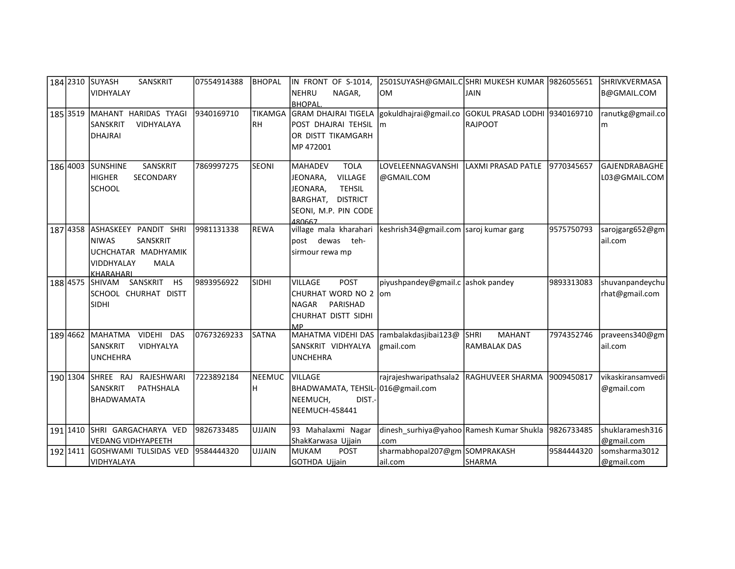| 184 2310 | lsuyash<br>SANSKRIT                        | 07554914388 | <b>BHOPAL</b>  | IN FRONT OF S-1014,                      | 2501SUYASH@GMAIL.C SHRI MUKESH KUMAR  9826055651    |                              |            | SHRIVKVERMASA        |
|----------|--------------------------------------------|-------------|----------------|------------------------------------------|-----------------------------------------------------|------------------------------|------------|----------------------|
|          | VIDHYALAY                                  |             |                | INEHRU<br>NAGAR.                         | <b>OM</b>                                           | JAIN                         |            | B@GMAIL.COM          |
|          |                                            |             |                | <b>BHOPAL</b>                            |                                                     |                              |            |                      |
| 185 3519 | MAHANT HARIDAS TYAGI                       | 9340169710  | <b>TIKAMGA</b> | <b>GRAM DHAJRAI TIGELA</b>               | gokuldhajrai@gmail.co GOKUL PRASAD LODHI 9340169710 |                              |            | ranutkg@gmail.co     |
|          | <b>SANSKRIT</b><br>VIDHYALAYA              |             | <b>RH</b>      | IPOST DHAJRAI TEHSIL                     | lm                                                  | RAJPOOT                      |            | m                    |
|          | <b>DHAJRAI</b>                             |             |                | OR DISTT TIKAMGARH                       |                                                     |                              |            |                      |
|          |                                            |             |                | IMP 472001                               |                                                     |                              |            |                      |
| 186 4003 | <b>SUNSHINE</b><br>SANSKRIT                | 7869997275  | <b>SEONI</b>   | <b>TOLA</b><br>lMAHADEV                  | LOVELEENNAGVANSHI                                   | LAXMI PRASAD PATLE           | 9770345657 | <b>GAJENDRABAGHE</b> |
|          | <b>HIGHER</b><br>SECONDARY                 |             |                | JEONARA,<br>VILLAGE                      | @GMAIL.COM                                          |                              |            | L03@GMAIL.COM        |
|          | <b>SCHOOL</b>                              |             |                | JEONARA,<br><b>TEHSIL</b>                |                                                     |                              |            |                      |
|          |                                            |             |                | IBARGHAT.<br><b>DISTRICT</b>             |                                                     |                              |            |                      |
|          |                                            |             |                | SEONI, M.P. PIN CODE                     |                                                     |                              |            |                      |
|          |                                            |             |                | 480667                                   |                                                     |                              |            |                      |
| 187 4358 | ASHASKEEY PANDIT SHRI                      | 9981131338  | <b>REWA</b>    | village mala kharahari                   | keshrish34@gmail.com saroj kumar garg               |                              | 9575750793 | sarojgarg652@gm      |
|          | SANSKRIT<br><b>NIWAS</b>                   |             |                | post dewas teh-                          |                                                     |                              |            | ail.com              |
|          | UCHCHATAR MADHYAMIK                        |             |                | sirmour rewa mp                          |                                                     |                              |            |                      |
|          | <b>MALA</b><br><b>VIDDHYALAY</b>           |             |                |                                          |                                                     |                              |            |                      |
| 188 4575 | <b>KHARAHARI</b><br>SANSKRIT HS<br>ISHIVAM | 9893956922  | <b>SIDHI</b>   | <b>POST</b><br><b>VILLAGE</b>            | piyushpandey@gmail.c ashok pandey                   |                              | 9893313083 | shuvanpandeychu      |
|          | SCHOOL CHURHAT DISTT                       |             |                | <b>CHURHAT WORD NO 2</b>                 | om                                                  |                              |            | rhat@gmail.com       |
|          | SIDHI                                      |             |                | PARISHAD<br>NAGAR                        |                                                     |                              |            |                      |
|          |                                            |             |                | ICHURHAT DISTT SIDHI                     |                                                     |                              |            |                      |
|          |                                            |             |                | <b>MP</b>                                |                                                     |                              |            |                      |
| 189 4662 | VIDEHI DAS<br>Іманатма                     | 07673269233 | <b>SATNA</b>   | MAHATMA VIDEHI DAS  rambalakdasjibai123@ |                                                     | <b>MAHANT</b><br><b>SHRI</b> | 7974352746 | praveens340@gm       |
|          | <b>SANSKRIT</b><br>VIDHYALYA               |             |                | SANSKRIT VIDHYALYA                       | lgmail.com                                          | <b>RAMBALAK DAS</b>          |            | ail.com              |
|          | <b>UNCHEHRA</b>                            |             |                | <b>UNCHEHRA</b>                          |                                                     |                              |            |                      |
| 190 1304 | lshree raj<br>RAJESHWARI                   | 7223892184  | <b>NEEMUC</b>  | <b>VILLAGE</b>                           | rajrajeshwaripathsala2   RAGHUVEER SHARMA           |                              | 9009450817 | vikaskiransamvedi    |
|          | <b>SANSKRIT</b><br><b>PATHSHALA</b>        |             | H.             | BHADWAMATA, TEHSIL-016@gmail.com         |                                                     |                              |            | @gmail.com           |
|          | <b>BHADWAMATA</b>                          |             |                | NEEMUCH,<br>DIST.-                       |                                                     |                              |            |                      |
|          |                                            |             |                | NEEMUCH-458441                           |                                                     |                              |            |                      |
|          |                                            |             |                |                                          |                                                     |                              |            |                      |
| 191 1410 | SHRI GARGACHARYA VED                       | 9826733485  | <b>UJJAIN</b>  | 93 Mahalaxmi Nagar                       | dinesh_surhiya@yahoo Ramesh Kumar Shukla            |                              | 9826733485 | shuklaramesh316      |
|          | <b>VEDANG VIDHYAPEETH</b>                  |             |                | ShakKarwasa Ujjain                       | .com                                                |                              |            | @gmail.com           |
| 192 1411 | GOSHWAMI TULSIDAS VED                      | 9584444320  | <b>UJJAIN</b>  | Імикам<br><b>POST</b>                    | sharmabhopal207@gm SOMPRAKASH                       |                              | 9584444320 | somsharma3012        |
|          | VIDHYALAYA                                 |             |                | <b>GOTHDA Ujjain</b>                     | ail.com                                             | <b>SHARMA</b>                |            | @gmail.com           |